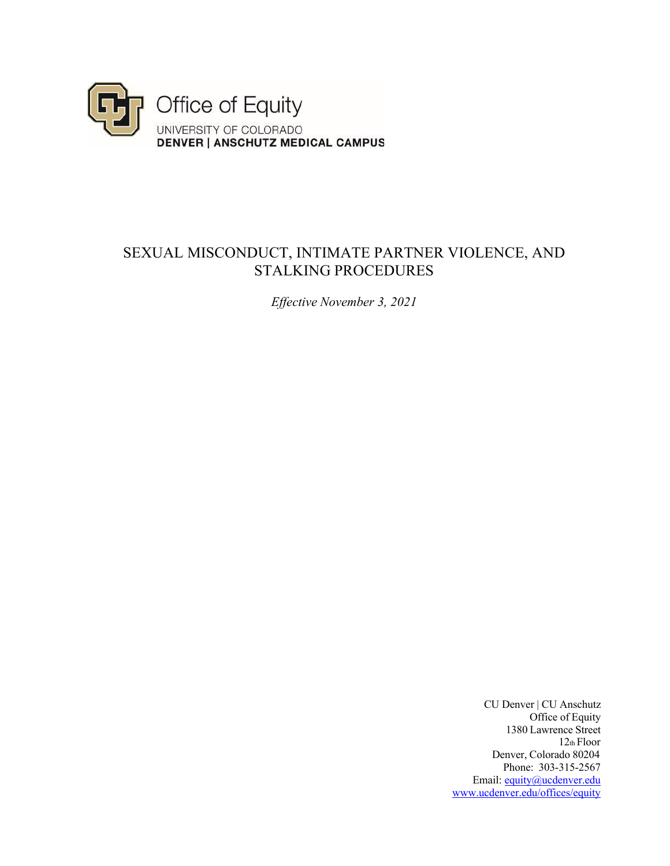

## SEXUAL MISCONDUCT, INTIMATE PARTNER VIOLENCE, AND STALKING PROCEDURES

*Effective November 3, 2021* 

CU Denver | CU Anschutz Office of Equity 1380 Lawrence Street 12th Floor Denver, Colorado 80204 Phone: 303-315-2567 Email: equity@ucdenver.edu www.ucdenver.edu/offices/equity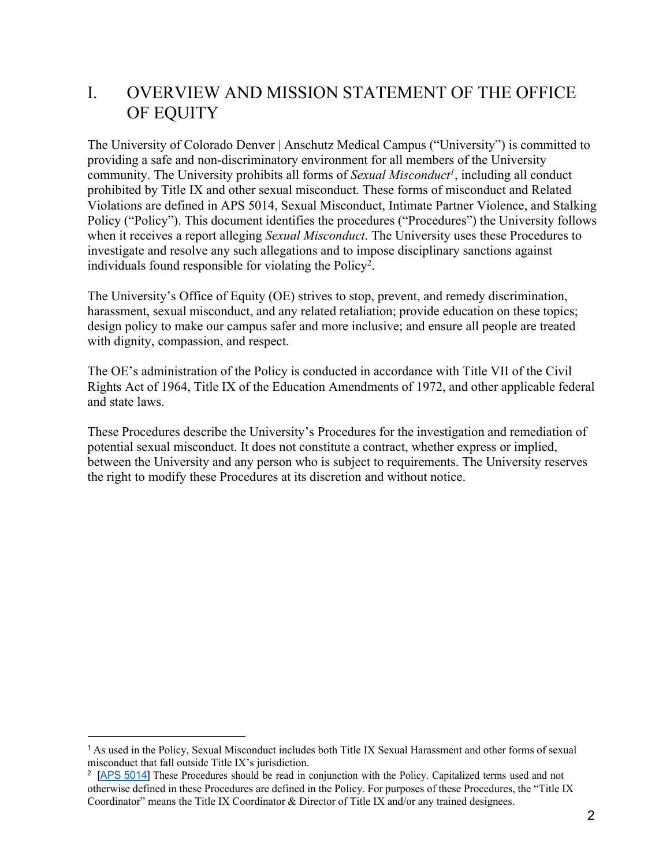# I. OVERVIEW AND MISSION STATEMENT OF THE OFFICE OF EQUITY

The University of Colorado Denver | Anschutz Medical Campus ("University") is committed to providing a safe and non-discriminatory environment for all members of the University community. The University prohibits all forms of *Sexual Misconduct<sup>1</sup>*, including all conduct prohibited by Title IX and other sexual misconduct. These forms of misconduct and Related Violations are defined in APS 5014, Sexual Misconduct, Intimate Partner Violence, and Stalking Policy ("Policy"). This document identifies the procedures ("Procedures") the University follows when it receives a report alleging *Sexual Misconduct*. The University uses these Procedures to investigate and resolve any such allegations and to impose disciplinary sanctions against individuals found responsible for violating the Policy<sup>2</sup>.

The University's Office of Equity (OE) strives to stop, prevent, and remedy discrimination, harassment, sexual misconduct, and any related retaliation; provide education on these topics; design policy to make our campus safer and more inclusive; and ensure all people are treated with dignity, compassion, and respect.

The OE's administration of the Policy is conducted in accordance with Title VII of the Civil Rights Act of 1964, Title IX of the Education Amendments of 1972, and other applicable federal and state laws.

These Procedures describe the University's Procedures for the investigation and remediation of potential sexual misconduct. It does not constitute a contract, whether express or implied, between the University and any person who is subject to requirements. The University reserves the right to modify these Procedures at its discretion and without notice.

<sup>1</sup>As used in the Policy, Sexual Misconduct includes both Title IX Sexual Harassment and other forms of sexual misconduct that fall outside Title IX's jurisdiction.

<sup>&</sup>lt;sup>2</sup> [APS 5014] These Procedures should be read in conjunction with the Policy. Capitalized terms used and not otherwise defined in these Procedures are defined in the Policy. For purposes of these Procedures, the "Title IX Coordinator" means the Title IX Coordinator & Director of Title IX and/or any trained designees.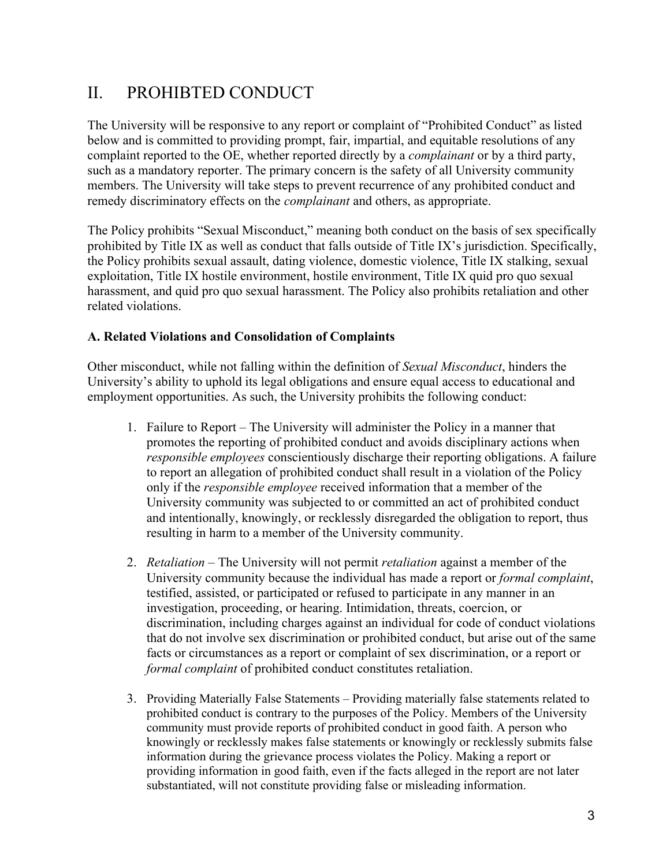# II. PROHIBTED CONDUCT

The University will be responsive to any report or complaint of "Prohibited Conduct" as listed below and is committed to providing prompt, fair, impartial, and equitable resolutions of any complaint reported to the OE, whether reported directly by a *complainant* or by a third party, such as a mandatory reporter. The primary concern is the safety of all University community members. The University will take steps to prevent recurrence of any prohibited conduct and remedy discriminatory effects on the *complainant* and others, as appropriate.

The Policy prohibits "Sexual Misconduct," meaning both conduct on the basis of sex specifically prohibited by Title IX as well as conduct that falls outside of Title IX's jurisdiction. Specifically, the Policy prohibits sexual assault, dating violence, domestic violence, Title IX stalking, sexual exploitation, Title IX hostile environment, hostile environment, Title IX quid pro quo sexual harassment, and quid pro quo sexual harassment. The Policy also prohibits retaliation and other related violations.

## **A. Related Violations and Consolidation of Complaints**

Other misconduct, while not falling within the definition of *Sexual Misconduct*, hinders the University's ability to uphold its legal obligations and ensure equal access to educational and employment opportunities. As such, the University prohibits the following conduct:

- 1. Failure to Report The University will administer the Policy in a manner that promotes the reporting of prohibited conduct and avoids disciplinary actions when *responsible employees* conscientiously discharge their reporting obligations. A failure to report an allegation of prohibited conduct shall result in a violation of the Policy only if the *responsible employee* received information that a member of the University community was subjected to or committed an act of prohibited conduct and intentionally, knowingly, or recklessly disregarded the obligation to report, thus resulting in harm to a member of the University community.
- 2. *Retaliation* The University will not permit *retaliation* against a member of the University community because the individual has made a report or *formal complaint*, testified, assisted, or participated or refused to participate in any manner in an investigation, proceeding, or hearing. Intimidation, threats, coercion, or discrimination, including charges against an individual for code of conduct violations that do not involve sex discrimination or prohibited conduct, but arise out of the same facts or circumstances as a report or complaint of sex discrimination, or a report or *formal complaint* of prohibited conduct constitutes retaliation.
- 3. Providing Materially False Statements Providing materially false statements related to prohibited conduct is contrary to the purposes of the Policy. Members of the University community must provide reports of prohibited conduct in good faith. A person who knowingly or recklessly makes false statements or knowingly or recklessly submits false information during the grievance process violates the Policy. Making a report or providing information in good faith, even if the facts alleged in the report are not later substantiated, will not constitute providing false or misleading information.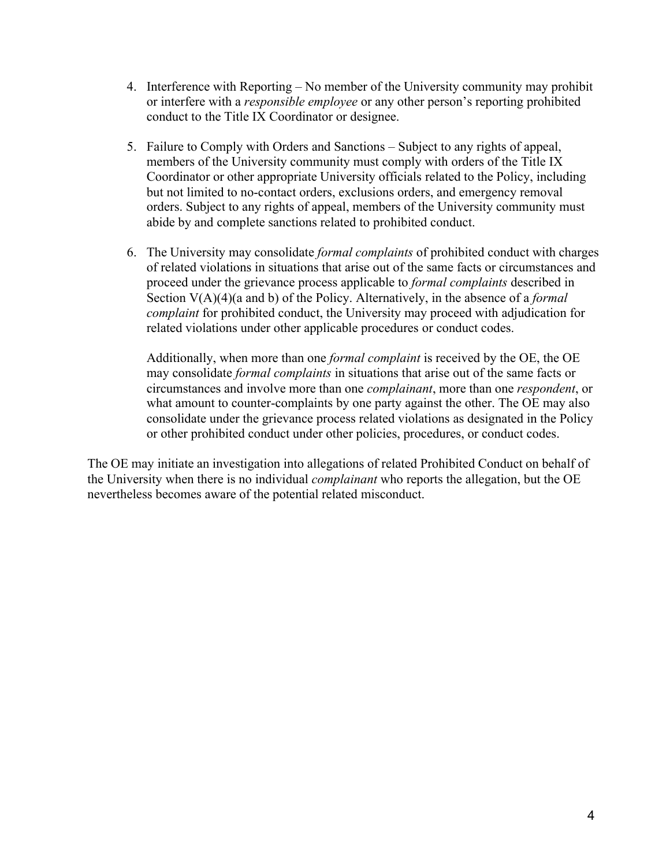- 4. Interference with Reporting No member of the University community may prohibit or interfere with a *responsible employee* or any other person's reporting prohibited conduct to the Title IX Coordinator or designee.
- 5. Failure to Comply with Orders and Sanctions Subject to any rights of appeal, members of the University community must comply with orders of the Title IX Coordinator or other appropriate University officials related to the Policy, including but not limited to no-contact orders, exclusions orders, and emergency removal orders. Subject to any rights of appeal, members of the University community must abide by and complete sanctions related to prohibited conduct.
- 6. The University may consolidate *formal complaints* of prohibited conduct with charges of related violations in situations that arise out of the same facts or circumstances and proceed under the grievance process applicable to *formal complaints* described in Section V(A)(4)(a and b) of the Policy. Alternatively, in the absence of a *formal complaint* for prohibited conduct, the University may proceed with adjudication for related violations under other applicable procedures or conduct codes.

Additionally, when more than one *formal complaint* is received by the OE, the OE may consolidate *formal complaints* in situations that arise out of the same facts or circumstances and involve more than one *complainant*, more than one *respondent*, or what amount to counter-complaints by one party against the other. The OE may also consolidate under the grievance process related violations as designated in the Policy or other prohibited conduct under other policies, procedures, or conduct codes.

The OE may initiate an investigation into allegations of related Prohibited Conduct on behalf of the University when there is no individual *complainant* who reports the allegation, but the OE nevertheless becomes aware of the potential related misconduct.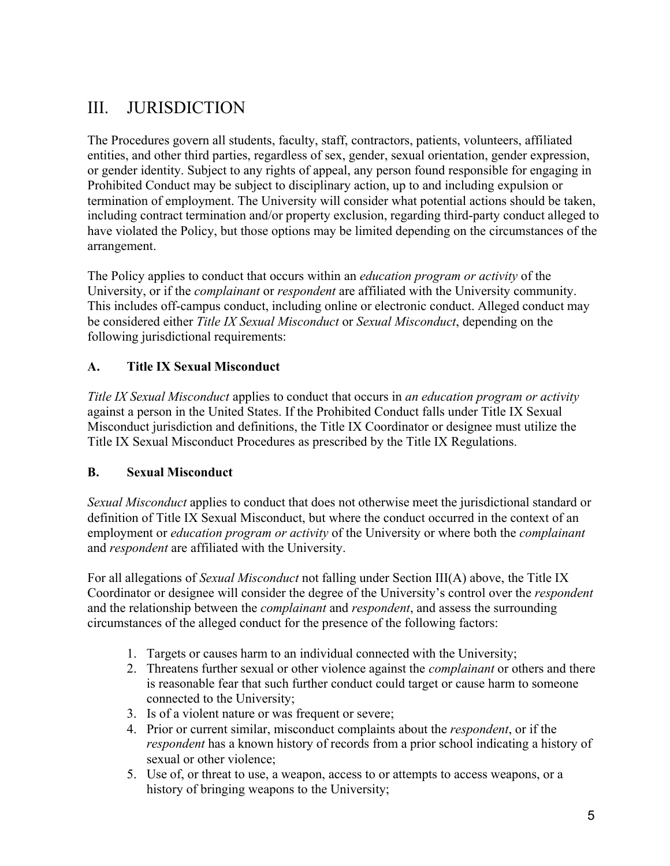# III. JURISDICTION

The Procedures govern all students, faculty, staff, contractors, patients, volunteers, affiliated entities, and other third parties, regardless of sex, gender, sexual orientation, gender expression, or gender identity. Subject to any rights of appeal, any person found responsible for engaging in Prohibited Conduct may be subject to disciplinary action, up to and including expulsion or termination of employment. The University will consider what potential actions should be taken, including contract termination and/or property exclusion, regarding third-party conduct alleged to have violated the Policy, but those options may be limited depending on the circumstances of the arrangement.

The Policy applies to conduct that occurs within an *education program or activity* of the University, or if the *complainant* or *respondent* are affiliated with the University community. This includes off-campus conduct, including online or electronic conduct. Alleged conduct may be considered either *Title IX Sexual Misconduct* or *Sexual Misconduct*, depending on the following jurisdictional requirements:

## **A. Title IX Sexual Misconduct**

*Title IX Sexual Misconduct* applies to conduct that occurs in *an education program or activity* against a person in the United States. If the Prohibited Conduct falls under Title IX Sexual Misconduct jurisdiction and definitions, the Title IX Coordinator or designee must utilize the Title IX Sexual Misconduct Procedures as prescribed by the Title IX Regulations.

## **B. Sexual Misconduct**

*Sexual Misconduct* applies to conduct that does not otherwise meet the jurisdictional standard or definition of Title IX Sexual Misconduct, but where the conduct occurred in the context of an employment or *education program or activity* of the University or where both the *complainant* and *respondent* are affiliated with the University.

For all allegations of *Sexual Misconduct* not falling under Section III(A) above, the Title IX Coordinator or designee will consider the degree of the University's control over the *respondent* and the relationship between the *complainant* and *respondent*, and assess the surrounding circumstances of the alleged conduct for the presence of the following factors:

- 1. Targets or causes harm to an individual connected with the University;
- 2. Threatens further sexual or other violence against the *complainant* or others and there is reasonable fear that such further conduct could target or cause harm to someone connected to the University;
- 3. Is of a violent nature or was frequent or severe;
- 4. Prior or current similar, misconduct complaints about the *respondent*, or if the *respondent* has a known history of records from a prior school indicating a history of sexual or other violence;
- 5. Use of, or threat to use, a weapon, access to or attempts to access weapons, or a history of bringing weapons to the University;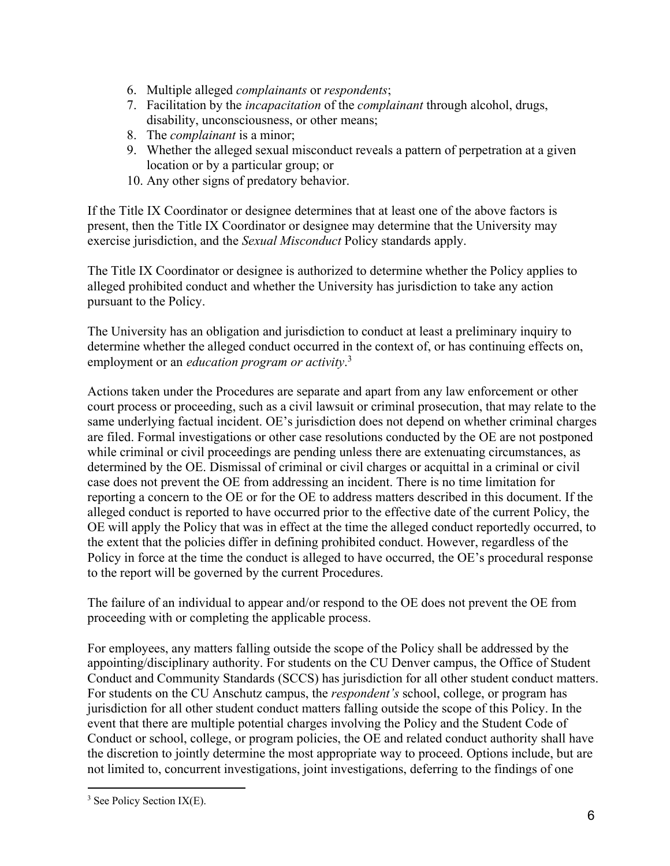- 6. Multiple alleged *complainants* or *respondents*;
- 7. Facilitation by the *incapacitation* of the *complainant* through alcohol, drugs, disability, unconsciousness, or other means;
- 8. The *complainant* is a minor;
- 9. Whether the alleged sexual misconduct reveals a pattern of perpetration at a given location or by a particular group; or
- 10. Any other signs of predatory behavior.

If the Title IX Coordinator or designee determines that at least one of the above factors is present, then the Title IX Coordinator or designee may determine that the University may exercise jurisdiction, and the *Sexual Misconduct* Policy standards apply.

The Title IX Coordinator or designee is authorized to determine whether the Policy applies to alleged prohibited conduct and whether the University has jurisdiction to take any action pursuant to the Policy.

The University has an obligation and jurisdiction to conduct at least a preliminary inquiry to determine whether the alleged conduct occurred in the context of, or has continuing effects on, employment or an *education program or activity*. 3

Actions taken under the Procedures are separate and apart from any law enforcement or other court process or proceeding, such as a civil lawsuit or criminal prosecution, that may relate to the same underlying factual incident. OE's jurisdiction does not depend on whether criminal charges are filed. Formal investigations or other case resolutions conducted by the OE are not postponed while criminal or civil proceedings are pending unless there are extenuating circumstances, as determined by the OE. Dismissal of criminal or civil charges or acquittal in a criminal or civil case does not prevent the OE from addressing an incident. There is no time limitation for reporting a concern to the OE or for the OE to address matters described in this document. If the alleged conduct is reported to have occurred prior to the effective date of the current Policy, the OE will apply the Policy that was in effect at the time the alleged conduct reportedly occurred, to the extent that the policies differ in defining prohibited conduct. However, regardless of the Policy in force at the time the conduct is alleged to have occurred, the OE's procedural response to the report will be governed by the current Procedures.

The failure of an individual to appear and/or respond to the OE does not prevent the OE from proceeding with or completing the applicable process.

For employees, any matters falling outside the scope of the Policy shall be addressed by the appointing/disciplinary authority. For students on the CU Denver campus, the Office of Student Conduct and Community Standards (SCCS) has jurisdiction for all other student conduct matters. For students on the CU Anschutz campus, the *respondent's* school, college, or program has jurisdiction for all other student conduct matters falling outside the scope of this Policy. In the event that there are multiple potential charges involving the Policy and the Student Code of Conduct or school, college, or program policies, the OE and related conduct authority shall have the discretion to jointly determine the most appropriate way to proceed. Options include, but are not limited to, concurrent investigations, joint investigations, deferring to the findings of one

<sup>&</sup>lt;sup>3</sup> See Policy Section IX(E).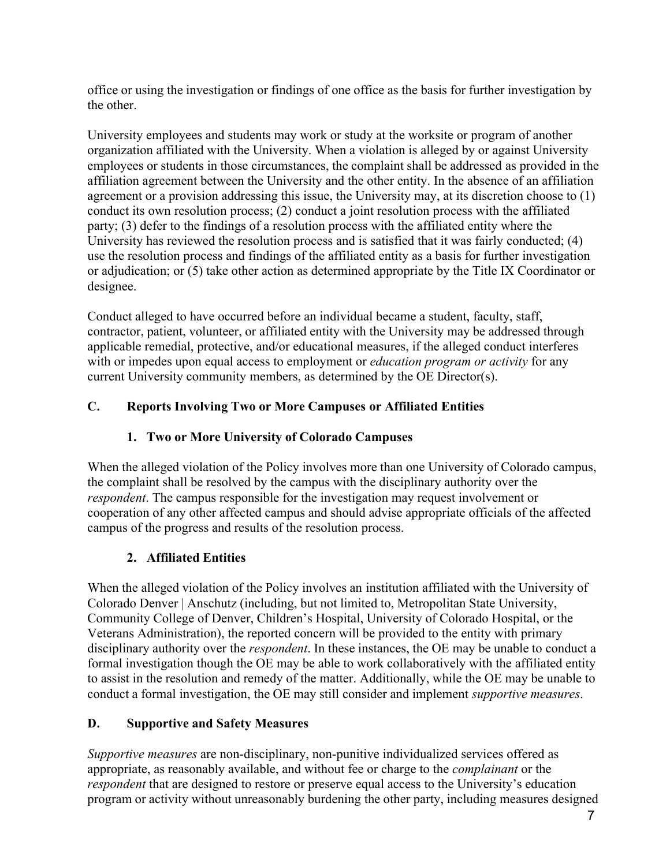office or using the investigation or findings of one office as the basis for further investigation by the other.

University employees and students may work or study at the worksite or program of another organization affiliated with the University. When a violation is alleged by or against University employees or students in those circumstances, the complaint shall be addressed as provided in the affiliation agreement between the University and the other entity. In the absence of an affiliation agreement or a provision addressing this issue, the University may, at its discretion choose to (1) conduct its own resolution process; (2) conduct a joint resolution process with the affiliated party; (3) defer to the findings of a resolution process with the affiliated entity where the University has reviewed the resolution process and is satisfied that it was fairly conducted; (4) use the resolution process and findings of the affiliated entity as a basis for further investigation or adjudication; or (5) take other action as determined appropriate by the Title IX Coordinator or designee.

Conduct alleged to have occurred before an individual became a student, faculty, staff, contractor, patient, volunteer, or affiliated entity with the University may be addressed through applicable remedial, protective, and/or educational measures, if the alleged conduct interferes with or impedes upon equal access to employment or *education program or activity* for any current University community members, as determined by the OE Director(s).

## **C. Reports Involving Two or More Campuses or Affiliated Entities**

## **1. Two or More University of Colorado Campuses**

When the alleged violation of the Policy involves more than one University of Colorado campus, the complaint shall be resolved by the campus with the disciplinary authority over the *respondent*. The campus responsible for the investigation may request involvement or cooperation of any other affected campus and should advise appropriate officials of the affected campus of the progress and results of the resolution process.

### **2. Affiliated Entities**

When the alleged violation of the Policy involves an institution affiliated with the University of Colorado Denver | Anschutz (including, but not limited to, Metropolitan State University, Community College of Denver, Children's Hospital, University of Colorado Hospital, or the Veterans Administration), the reported concern will be provided to the entity with primary disciplinary authority over the *respondent*. In these instances, the OE may be unable to conduct a formal investigation though the OE may be able to work collaboratively with the affiliated entity to assist in the resolution and remedy of the matter. Additionally, while the OE may be unable to conduct a formal investigation, the OE may still consider and implement *supportive measures*.

### **D. Supportive and Safety Measures**

*Supportive measures* are non-disciplinary, non-punitive individualized services offered as appropriate, as reasonably available, and without fee or charge to the *complainant* or the *respondent* that are designed to restore or preserve equal access to the University's education program or activity without unreasonably burdening the other party, including measures designed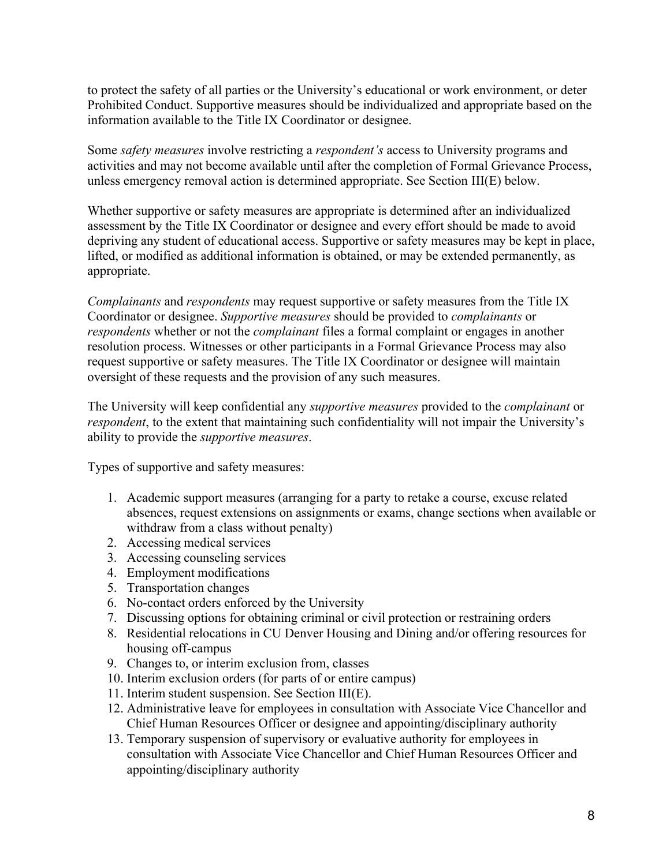to protect the safety of all parties or the University's educational or work environment, or deter Prohibited Conduct. Supportive measures should be individualized and appropriate based on the information available to the Title IX Coordinator or designee.

Some *safety measures* involve restricting a *respondent's* access to University programs and activities and may not become available until after the completion of Formal Grievance Process, unless emergency removal action is determined appropriate. See Section III(E) below.

Whether supportive or safety measures are appropriate is determined after an individualized assessment by the Title IX Coordinator or designee and every effort should be made to avoid depriving any student of educational access. Supportive or safety measures may be kept in place, lifted, or modified as additional information is obtained, or may be extended permanently, as appropriate.

*Complainants* and *respondents* may request supportive or safety measures from the Title IX Coordinator or designee. *Supportive measures* should be provided to *complainants* or *respondents* whether or not the *complainant* files a formal complaint or engages in another resolution process. Witnesses or other participants in a Formal Grievance Process may also request supportive or safety measures. The Title IX Coordinator or designee will maintain oversight of these requests and the provision of any such measures.

The University will keep confidential any *supportive measures* provided to the *complainant* or *respondent*, to the extent that maintaining such confidentiality will not impair the University's ability to provide the *supportive measures*.

Types of supportive and safety measures:

- 1. Academic support measures (arranging for a party to retake a course, excuse related absences, request extensions on assignments or exams, change sections when available or withdraw from a class without penalty)
- 2. Accessing medical services
- 3. Accessing counseling services
- 4. Employment modifications
- 5. Transportation changes
- 6. No-contact orders enforced by the University
- 7. Discussing options for obtaining criminal or civil protection or restraining orders
- 8. Residential relocations in CU Denver Housing and Dining and/or offering resources for housing off-campus
- 9. Changes to, or interim exclusion from, classes
- 10. Interim exclusion orders (for parts of or entire campus)
- 11. Interim student suspension. See Section III(E).
- 12. Administrative leave for employees in consultation with Associate Vice Chancellor and Chief Human Resources Officer or designee and appointing/disciplinary authority
- 13. Temporary suspension of supervisory or evaluative authority for employees in consultation with Associate Vice Chancellor and Chief Human Resources Officer and appointing/disciplinary authority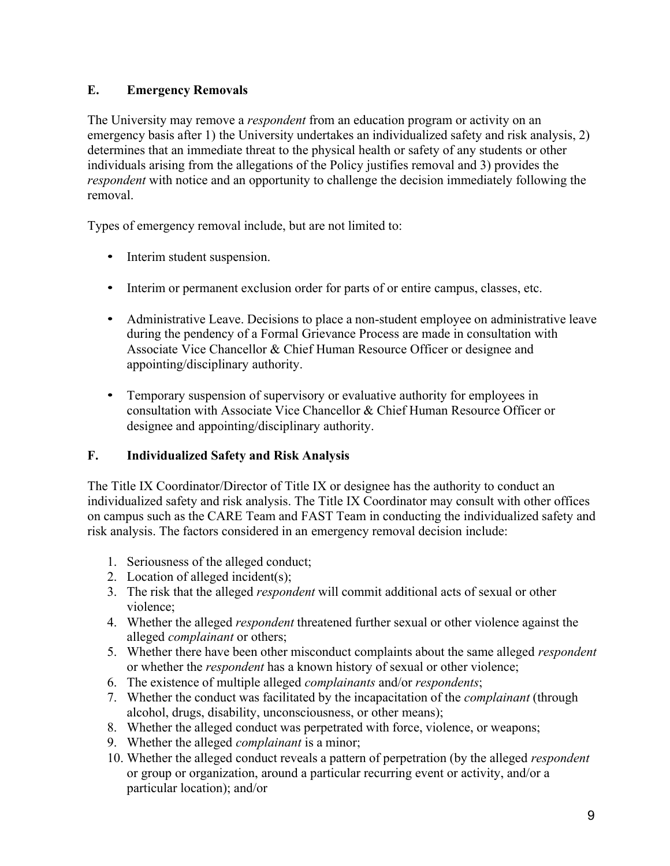## **E. Emergency Removals**

The University may remove a *respondent* from an education program or activity on an emergency basis after 1) the University undertakes an individualized safety and risk analysis, 2) determines that an immediate threat to the physical health or safety of any students or other individuals arising from the allegations of the Policy justifies removal and 3) provides the *respondent* with notice and an opportunity to challenge the decision immediately following the removal.

Types of emergency removal include, but are not limited to:

- Interim student suspension.
- Interim or permanent exclusion order for parts of or entire campus, classes, etc.
- Administrative Leave. Decisions to place a non-student employee on administrative leave during the pendency of a Formal Grievance Process are made in consultation with Associate Vice Chancellor & Chief Human Resource Officer or designee and appointing/disciplinary authority.
- Temporary suspension of supervisory or evaluative authority for employees in consultation with Associate Vice Chancellor & Chief Human Resource Officer or designee and appointing/disciplinary authority.

## **F. Individualized Safety and Risk Analysis**

The Title IX Coordinator/Director of Title IX or designee has the authority to conduct an individualized safety and risk analysis. The Title IX Coordinator may consult with other offices on campus such as the CARE Team and FAST Team in conducting the individualized safety and risk analysis. The factors considered in an emergency removal decision include:

- 1. Seriousness of the alleged conduct;
- 2. Location of alleged incident(s);
- 3. The risk that the alleged *respondent* will commit additional acts of sexual or other violence;
- 4. Whether the alleged *respondent* threatened further sexual or other violence against the alleged *complainant* or others;
- 5. Whether there have been other misconduct complaints about the same alleged *respondent* or whether the *respondent* has a known history of sexual or other violence;
- 6. The existence of multiple alleged *complainants* and/or *respondents*;
- 7. Whether the conduct was facilitated by the incapacitation of the *complainant* (through alcohol, drugs, disability, unconsciousness, or other means);
- 8. Whether the alleged conduct was perpetrated with force, violence, or weapons;
- 9. Whether the alleged *complainant* is a minor;
- 10. Whether the alleged conduct reveals a pattern of perpetration (by the alleged *respondent* or group or organization, around a particular recurring event or activity, and/or a particular location); and/or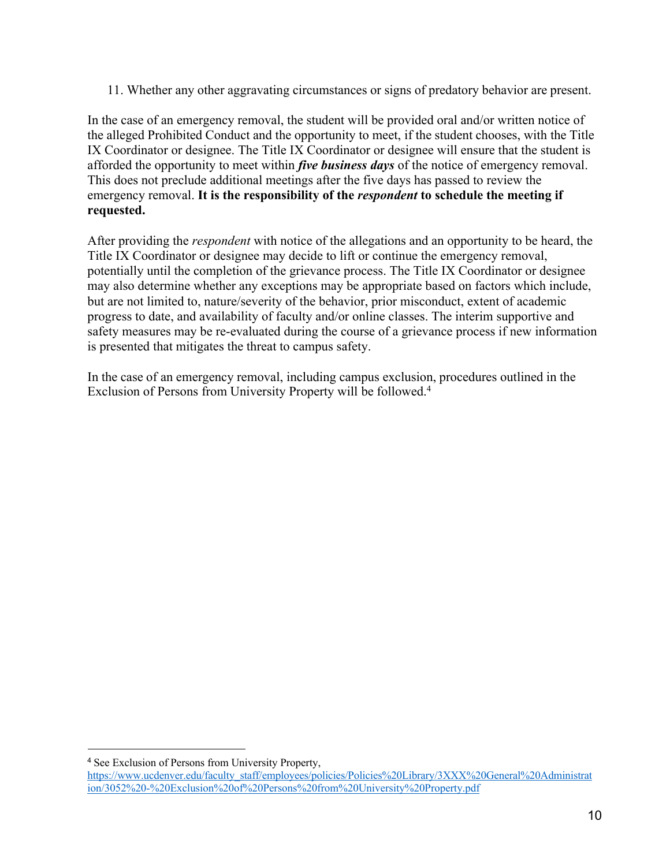11. Whether any other aggravating circumstances or signs of predatory behavior are present.

In the case of an emergency removal, the student will be provided oral and/or written notice of the alleged Prohibited Conduct and the opportunity to meet, if the student chooses, with the Title IX Coordinator or designee. The Title IX Coordinator or designee will ensure that the student is afforded the opportunity to meet within *five business days* of the notice of emergency removal. This does not preclude additional meetings after the five days has passed to review the emergency removal. **It is the responsibility of the** *respondent* **to schedule the meeting if requested.**

After providing the *respondent* with notice of the allegations and an opportunity to be heard, the Title IX Coordinator or designee may decide to lift or continue the emergency removal, potentially until the completion of the grievance process. The Title IX Coordinator or designee may also determine whether any exceptions may be appropriate based on factors which include, but are not limited to, nature/severity of the behavior, prior misconduct, extent of academic progress to date, and availability of faculty and/or online classes. The interim supportive and safety measures may be re-evaluated during the course of a grievance process if new information is presented that mitigates the threat to campus safety.

In the case of an emergency removal, including campus exclusion, procedures outlined in the Exclusion of Persons from University Property will be followed.4

<sup>4</sup> See Exclusion of Persons from University Property,

https://www.ucdenver.edu/faculty\_staff/employees/policies/Policies%20Library/3XXX%20General%20Administrat ion/3052%20-%20Exclusion%20of%20Persons%20from%20University%20Property.pdf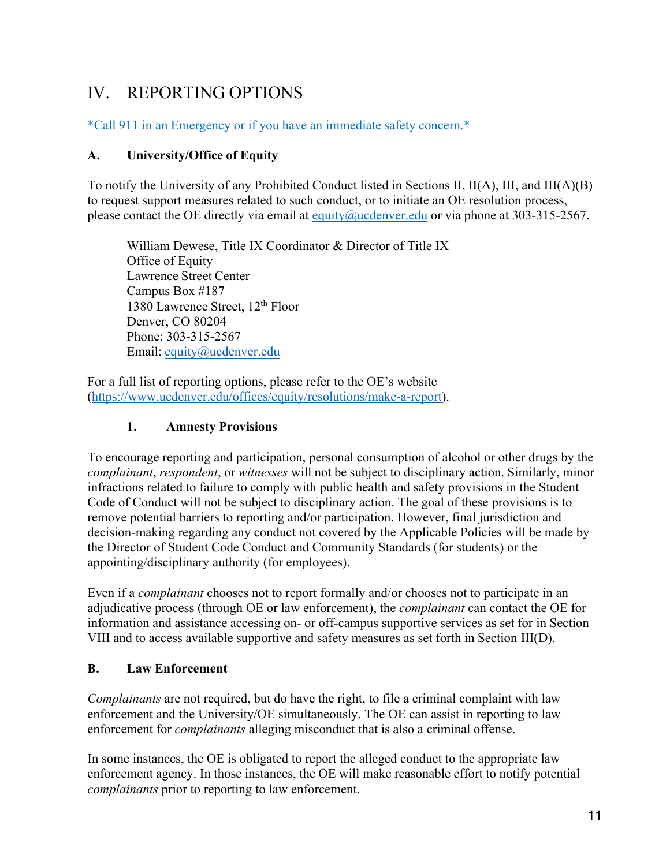# IV. REPORTING OPTIONS

\*Call 911 in an Emergency or if you have an immediate safety concern.\*

## **A. University/Office of Equity**

To notify the University of any Prohibited Conduct listed in Sections II, II(A), III, and III(A)(B) to request support measures related to such conduct, or to initiate an OE resolution process, please contact the OE directly via email at equity@ucdenver.edu or via phone at 303-315-2567.

William Dewese, Title IX Coordinator & Director of Title IX Office of Equity Lawrence Street Center Campus Box #187 1380 Lawrence Street, 12th Floor Denver, CO 80204 Phone: 303-315-2567 Email: equity@ucdenver.edu

For a full list of reporting options, please refer to the OE's website (https://www.ucdenver.edu/offices/equity/resolutions/make-a-report).

## **1. Amnesty Provisions**

To encourage reporting and participation, personal consumption of alcohol or other drugs by the *complainant*, *respondent*, or *witnesses* will not be subject to disciplinary action. Similarly, minor infractions related to failure to comply with public health and safety provisions in the Student Code of Conduct will not be subject to disciplinary action. The goal of these provisions is to remove potential barriers to reporting and/or participation. However, final jurisdiction and decision-making regarding any conduct not covered by the Applicable Policies will be made by the Director of Student Code Conduct and Community Standards (for students) or the appointing/disciplinary authority (for employees).

Even if a *complainant* chooses not to report formally and/or chooses not to participate in an adjudicative process (through OE or law enforcement), the *complainant* can contact the OE for information and assistance accessing on- or off-campus supportive services as set for in Section VIII and to access available supportive and safety measures as set forth in Section III(D).

### **B. Law Enforcement**

*Complainants* are not required, but do have the right, to file a criminal complaint with law enforcement and the University/OE simultaneously. The OE can assist in reporting to law enforcement for *complainants* alleging misconduct that is also a criminal offense.

In some instances, the OE is obligated to report the alleged conduct to the appropriate law enforcement agency. In those instances, the OE will make reasonable effort to notify potential *complainants* prior to reporting to law enforcement.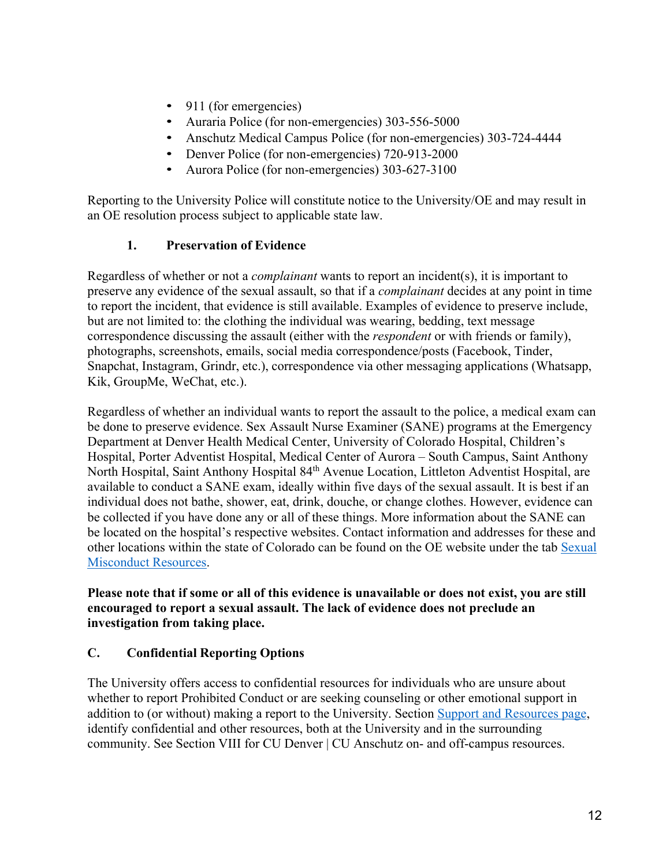- 911 (for emergencies)
- Auraria Police (for non-emergencies) 303-556-5000
- Anschutz Medical Campus Police (for non-emergencies) 303-724-4444
- Denver Police (for non-emergencies) 720-913-2000
- Aurora Police (for non-emergencies) 303-627-3100

Reporting to the University Police will constitute notice to the University/OE and may result in an OE resolution process subject to applicable state law.

### **1. Preservation of Evidence**

Regardless of whether or not a *complainant* wants to report an incident(s), it is important to preserve any evidence of the sexual assault, so that if a *complainant* decides at any point in time to report the incident, that evidence is still available. Examples of evidence to preserve include, but are not limited to: the clothing the individual was wearing, bedding, text message correspondence discussing the assault (either with the *respondent* or with friends or family), photographs, screenshots, emails, social media correspondence/posts (Facebook, Tinder, Snapchat, Instagram, Grindr, etc.), correspondence via other messaging applications (Whatsapp, Kik, GroupMe, WeChat, etc.).

Regardless of whether an individual wants to report the assault to the police, a medical exam can be done to preserve evidence. Sex Assault Nurse Examiner (SANE) programs at the Emergency Department at Denver Health Medical Center, University of Colorado Hospital, Children's Hospital, Porter Adventist Hospital, Medical Center of Aurora – South Campus, Saint Anthony North Hospital, Saint Anthony Hospital 84<sup>th</sup> Avenue Location, Littleton Adventist Hospital, are available to conduct a SANE exam, ideally within five days of the sexual assault. It is best if an individual does not bathe, shower, eat, drink, douche, or change clothes. However, evidence can be collected if you have done any or all of these things. More information about the SANE can be located on the hospital's respective websites. Contact information and addresses for these and other locations within the state of Colorado can be found on the OE website under the tab Sexual Misconduct Resources.

**Please note that if some or all of this evidence is unavailable or does not exist, you are still encouraged to report a sexual assault. The lack of evidence does not preclude an investigation from taking place.**

### **C. Confidential Reporting Options**

The University offers access to confidential resources for individuals who are unsure about whether to report Prohibited Conduct or are seeking counseling or other emotional support in addition to (or without) making a report to the University. Section Support and Resources page, identify confidential and other resources, both at the University and in the surrounding community. See Section VIII for CU Denver | CU Anschutz on- and off-campus resources.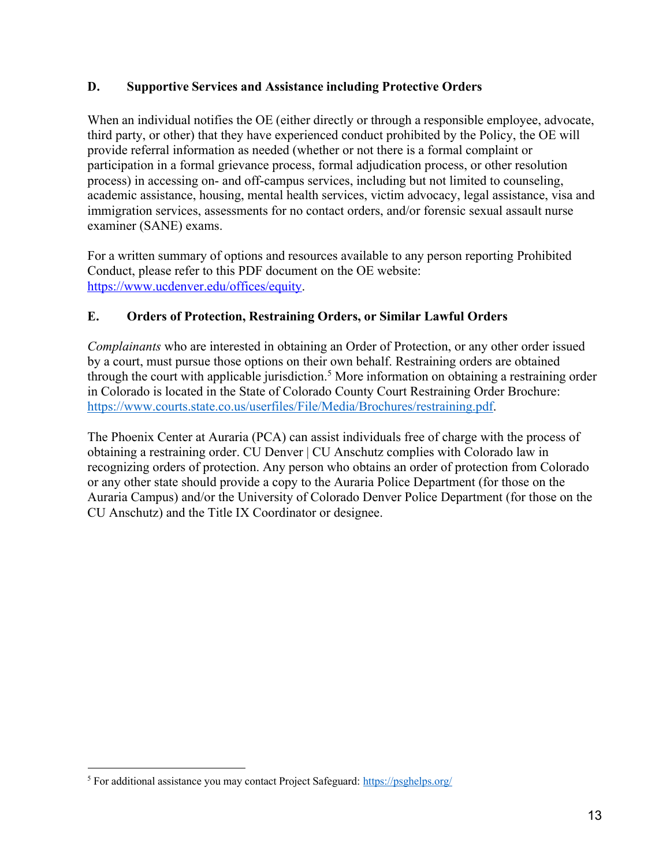## **D. Supportive Services and Assistance including Protective Orders**

When an individual notifies the OE (either directly or through a responsible employee, advocate, third party, or other) that they have experienced conduct prohibited by the Policy, the OE will provide referral information as needed (whether or not there is a formal complaint or participation in a formal grievance process, formal adjudication process, or other resolution process) in accessing on- and off-campus services, including but not limited to counseling, academic assistance, housing, mental health services, victim advocacy, legal assistance, visa and immigration services, assessments for no contact orders, and/or forensic sexual assault nurse examiner (SANE) exams.

For a written summary of options and resources available to any person reporting Prohibited Conduct, please refer to this PDF document on the OE website: https://www.ucdenver.edu/offices/equity.

## **E. Orders of Protection, Restraining Orders, or Similar Lawful Orders**

*Complainants* who are interested in obtaining an Order of Protection, or any other order issued by a court, must pursue those options on their own behalf. Restraining orders are obtained through the court with applicable jurisdiction.<sup>5</sup> More information on obtaining a restraining order in Colorado is located in the State of Colorado County Court Restraining Order Brochure: https://www.courts.state.co.us/userfiles/File/Media/Brochures/restraining.pdf.

The Phoenix Center at Auraria (PCA) can assist individuals free of charge with the process of obtaining a restraining order. CU Denver | CU Anschutz complies with Colorado law in recognizing orders of protection. Any person who obtains an order of protection from Colorado or any other state should provide a copy to the Auraria Police Department (for those on the Auraria Campus) and/or the University of Colorado Denver Police Department (for those on the CU Anschutz) and the Title IX Coordinator or designee.

<sup>&</sup>lt;sup>5</sup> For additional assistance you may contact Project Safeguard: https://psghelps.org/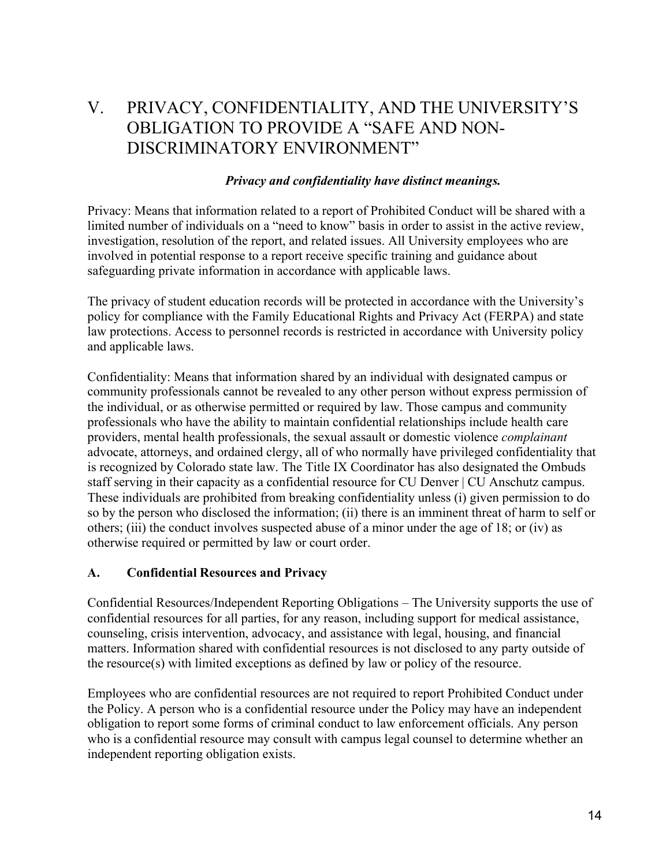# V. PRIVACY, CONFIDENTIALITY, AND THE UNIVERSITY'S OBLIGATION TO PROVIDE A "SAFE AND NON-DISCRIMINATORY ENVIRONMENT"

#### *Privacy and confidentiality have distinct meanings.*

Privacy: Means that information related to a report of Prohibited Conduct will be shared with a limited number of individuals on a "need to know" basis in order to assist in the active review, investigation, resolution of the report, and related issues. All University employees who are involved in potential response to a report receive specific training and guidance about safeguarding private information in accordance with applicable laws.

The privacy of student education records will be protected in accordance with the University's policy for compliance with the Family Educational Rights and Privacy Act (FERPA) and state law protections. Access to personnel records is restricted in accordance with University policy and applicable laws.

Confidentiality: Means that information shared by an individual with designated campus or community professionals cannot be revealed to any other person without express permission of the individual, or as otherwise permitted or required by law. Those campus and community professionals who have the ability to maintain confidential relationships include health care providers, mental health professionals, the sexual assault or domestic violence *complainant* advocate, attorneys, and ordained clergy, all of who normally have privileged confidentiality that is recognized by Colorado state law. The Title IX Coordinator has also designated the Ombuds staff serving in their capacity as a confidential resource for CU Denver | CU Anschutz campus. These individuals are prohibited from breaking confidentiality unless (i) given permission to do so by the person who disclosed the information; (ii) there is an imminent threat of harm to self or others; (iii) the conduct involves suspected abuse of a minor under the age of 18; or (iv) as otherwise required or permitted by law or court order.

### **A. Confidential Resources and Privacy**

Confidential Resources/Independent Reporting Obligations – The University supports the use of confidential resources for all parties, for any reason, including support for medical assistance, counseling, crisis intervention, advocacy, and assistance with legal, housing, and financial matters. Information shared with confidential resources is not disclosed to any party outside of the resource(s) with limited exceptions as defined by law or policy of the resource.

Employees who are confidential resources are not required to report Prohibited Conduct under the Policy. A person who is a confidential resource under the Policy may have an independent obligation to report some forms of criminal conduct to law enforcement officials. Any person who is a confidential resource may consult with campus legal counsel to determine whether an independent reporting obligation exists.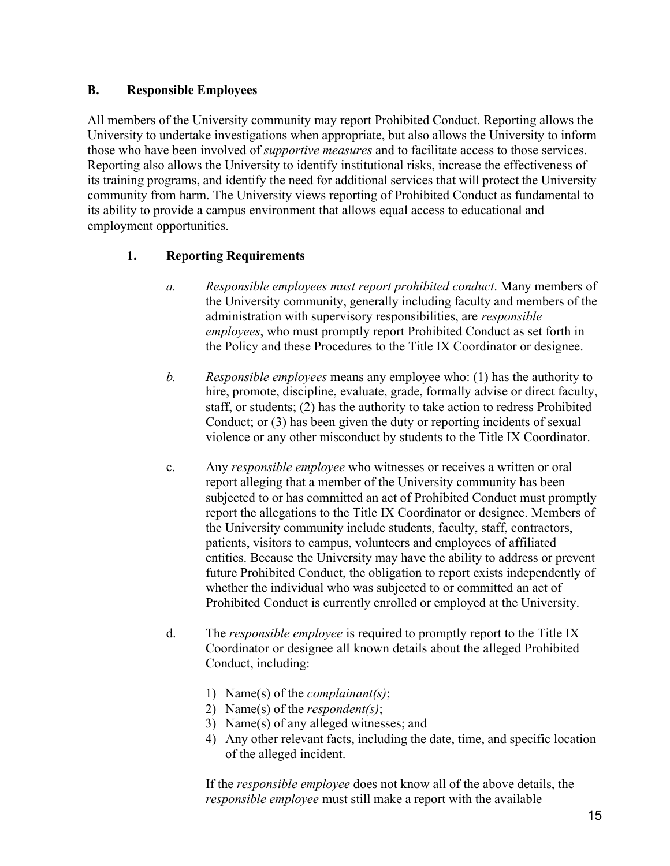## **B. Responsible Employees**

All members of the University community may report Prohibited Conduct. Reporting allows the University to undertake investigations when appropriate, but also allows the University to inform those who have been involved of *supportive measures* and to facilitate access to those services. Reporting also allows the University to identify institutional risks, increase the effectiveness of its training programs, and identify the need for additional services that will protect the University community from harm. The University views reporting of Prohibited Conduct as fundamental to its ability to provide a campus environment that allows equal access to educational and employment opportunities.

## **1. Reporting Requirements**

- *a. Responsible employees must report prohibited conduct*. Many members of the University community, generally including faculty and members of the administration with supervisory responsibilities, are *responsible employees*, who must promptly report Prohibited Conduct as set forth in the Policy and these Procedures to the Title IX Coordinator or designee.
- *b. Responsible employees* means any employee who: (1) has the authority to hire, promote, discipline, evaluate, grade, formally advise or direct faculty, staff, or students; (2) has the authority to take action to redress Prohibited Conduct; or (3) has been given the duty or reporting incidents of sexual violence or any other misconduct by students to the Title IX Coordinator.
- c. Any *responsible employee* who witnesses or receives a written or oral report alleging that a member of the University community has been subjected to or has committed an act of Prohibited Conduct must promptly report the allegations to the Title IX Coordinator or designee. Members of the University community include students, faculty, staff, contractors, patients, visitors to campus, volunteers and employees of affiliated entities. Because the University may have the ability to address or prevent future Prohibited Conduct, the obligation to report exists independently of whether the individual who was subjected to or committed an act of Prohibited Conduct is currently enrolled or employed at the University.
- d. The *responsible employee* is required to promptly report to the Title IX Coordinator or designee all known details about the alleged Prohibited Conduct, including:
	- 1) Name(s) of the *complainant(s)*;
	- 2) Name(s) of the *respondent(s)*;
	- 3) Name(s) of any alleged witnesses; and
	- 4) Any other relevant facts, including the date, time, and specific location of the alleged incident.

If the *responsible employee* does not know all of the above details, the *responsible employee* must still make a report with the available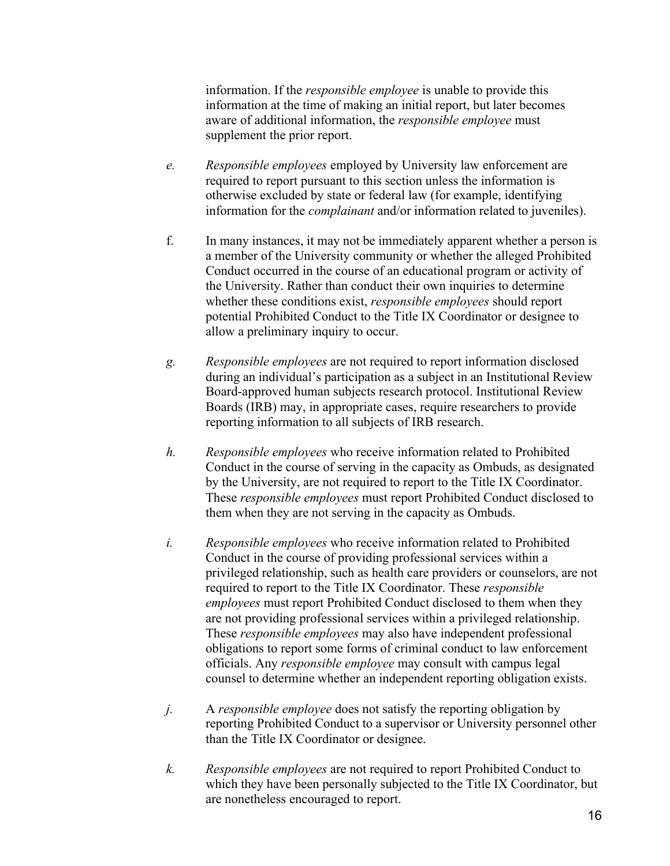information. If the *responsible employee* is unable to provide this information at the time of making an initial report, but later becomes aware of additional information, the *responsible employee* must supplement the prior report.

- *e. Responsible employees* employed by University law enforcement are required to report pursuant to this section unless the information is otherwise excluded by state or federal law (for example, identifying information for the *complainant* and/or information related to juveniles).
- f. In many instances, it may not be immediately apparent whether a person is a member of the University community or whether the alleged Prohibited Conduct occurred in the course of an educational program or activity of the University. Rather than conduct their own inquiries to determine whether these conditions exist, *responsible employees* should report potential Prohibited Conduct to the Title IX Coordinator or designee to allow a preliminary inquiry to occur.
- *g. Responsible employees* are not required to report information disclosed during an individual's participation as a subject in an Institutional Review Board-approved human subjects research protocol. Institutional Review Boards (IRB) may, in appropriate cases, require researchers to provide reporting information to all subjects of IRB research.
- *h. Responsible employees* who receive information related to Prohibited Conduct in the course of serving in the capacity as Ombuds, as designated by the University, are not required to report to the Title IX Coordinator. These *responsible employees* must report Prohibited Conduct disclosed to them when they are not serving in the capacity as Ombuds.
- *i. Responsible employees* who receive information related to Prohibited Conduct in the course of providing professional services within a privileged relationship, such as health care providers or counselors, are not required to report to the Title IX Coordinator. These *responsible employees* must report Prohibited Conduct disclosed to them when they are not providing professional services within a privileged relationship. These *responsible employees* may also have independent professional obligations to report some forms of criminal conduct to law enforcement officials. Any *responsible employee* may consult with campus legal counsel to determine whether an independent reporting obligation exists.
- *j.* A *responsible employee* does not satisfy the reporting obligation by reporting Prohibited Conduct to a supervisor or University personnel other than the Title IX Coordinator or designee.
- *k. Responsible employees* are not required to report Prohibited Conduct to which they have been personally subjected to the Title IX Coordinator, but are nonetheless encouraged to report.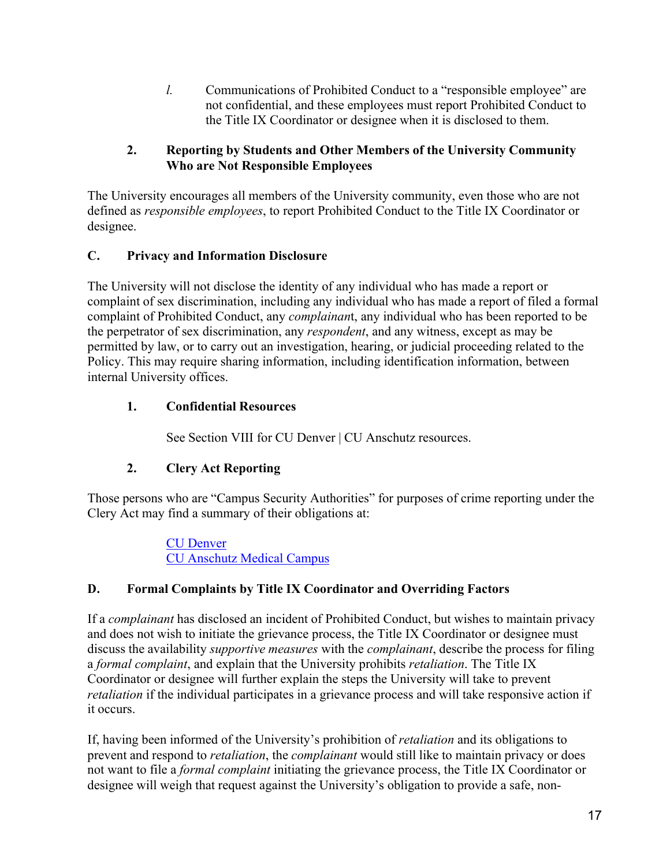*l.* Communications of Prohibited Conduct to a "responsible employee" are not confidential, and these employees must report Prohibited Conduct to the Title IX Coordinator or designee when it is disclosed to them.

## **2. Reporting by Students and Other Members of the University Community Who are Not Responsible Employees**

The University encourages all members of the University community, even those who are not defined as *responsible employees*, to report Prohibited Conduct to the Title IX Coordinator or designee.

## **C. Privacy and Information Disclosure**

The University will not disclose the identity of any individual who has made a report or complaint of sex discrimination, including any individual who has made a report of filed a formal complaint of Prohibited Conduct, any *complainan*t, any individual who has been reported to be the perpetrator of sex discrimination, any *respondent*, and any witness, except as may be permitted by law, or to carry out an investigation, hearing, or judicial proceeding related to the Policy. This may require sharing information, including identification information, between internal University offices.

## **1. Confidential Resources**

See Section VIII for CU Denver | CU Anschutz resources.

## **2. Clery Act Reporting**

Those persons who are "Campus Security Authorities" for purposes of crime reporting under the Clery Act may find a summary of their obligations at:

> CU Denver CU Anschutz Medical Campus

### **D. Formal Complaints by Title IX Coordinator and Overriding Factors**

If a *complainant* has disclosed an incident of Prohibited Conduct, but wishes to maintain privacy and does not wish to initiate the grievance process, the Title IX Coordinator or designee must discuss the availability *supportive measures* with the *complainant*, describe the process for filing a *formal complaint*, and explain that the University prohibits *retaliation*. The Title IX Coordinator or designee will further explain the steps the University will take to prevent *retaliation* if the individual participates in a grievance process and will take responsive action if it occurs.

If, having been informed of the University's prohibition of *retaliation* and its obligations to prevent and respond to *retaliation*, the *complainant* would still like to maintain privacy or does not want to file a *formal complaint* initiating the grievance process, the Title IX Coordinator or designee will weigh that request against the University's obligation to provide a safe, non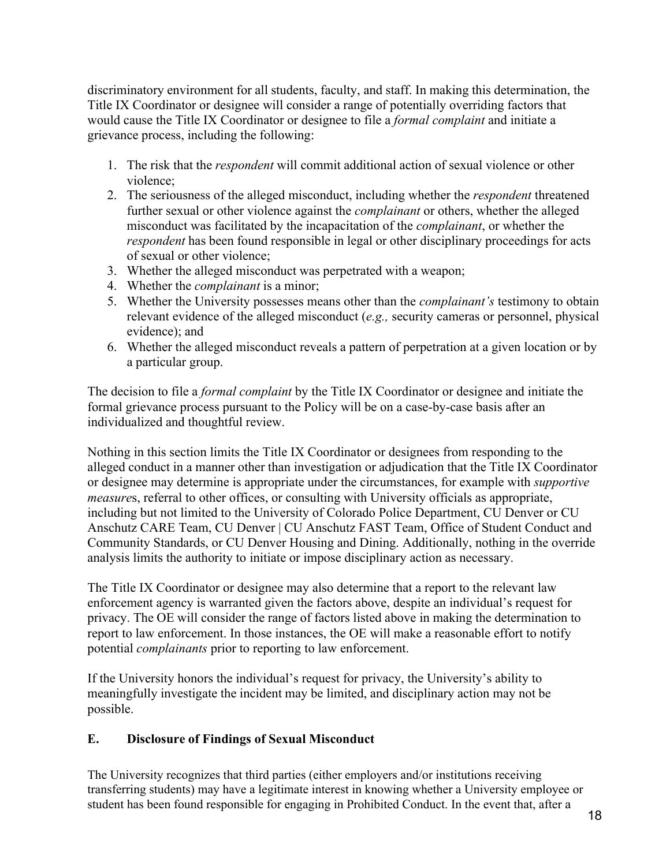discriminatory environment for all students, faculty, and staff. In making this determination, the Title IX Coordinator or designee will consider a range of potentially overriding factors that would cause the Title IX Coordinator or designee to file a *formal complaint* and initiate a grievance process, including the following:

- 1. The risk that the *respondent* will commit additional action of sexual violence or other violence;
- 2. The seriousness of the alleged misconduct, including whether the *respondent* threatened further sexual or other violence against the *complainant* or others, whether the alleged misconduct was facilitated by the incapacitation of the *complainant*, or whether the *respondent* has been found responsible in legal or other disciplinary proceedings for acts of sexual or other violence;
- 3. Whether the alleged misconduct was perpetrated with a weapon;
- 4. Whether the *complainant* is a minor;
- 5. Whether the University possesses means other than the *complainant's* testimony to obtain relevant evidence of the alleged misconduct (*e.g.,* security cameras or personnel, physical evidence); and
- 6. Whether the alleged misconduct reveals a pattern of perpetration at a given location or by a particular group.

The decision to file a *formal complaint* by the Title IX Coordinator or designee and initiate the formal grievance process pursuant to the Policy will be on a case-by-case basis after an individualized and thoughtful review.

Nothing in this section limits the Title IX Coordinator or designees from responding to the alleged conduct in a manner other than investigation or adjudication that the Title IX Coordinator or designee may determine is appropriate under the circumstances, for example with *supportive measure*s, referral to other offices, or consulting with University officials as appropriate, including but not limited to the University of Colorado Police Department, CU Denver or CU Anschutz CARE Team, CU Denver | CU Anschutz FAST Team, Office of Student Conduct and Community Standards, or CU Denver Housing and Dining. Additionally, nothing in the override analysis limits the authority to initiate or impose disciplinary action as necessary.

The Title IX Coordinator or designee may also determine that a report to the relevant law enforcement agency is warranted given the factors above, despite an individual's request for privacy. The OE will consider the range of factors listed above in making the determination to report to law enforcement. In those instances, the OE will make a reasonable effort to notify potential *complainants* prior to reporting to law enforcement.

If the University honors the individual's request for privacy, the University's ability to meaningfully investigate the incident may be limited, and disciplinary action may not be possible.

### **E. Disclosure of Findings of Sexual Misconduct**

The University recognizes that third parties (either employers and/or institutions receiving transferring students) may have a legitimate interest in knowing whether a University employee or student has been found responsible for engaging in Prohibited Conduct. In the event that, after a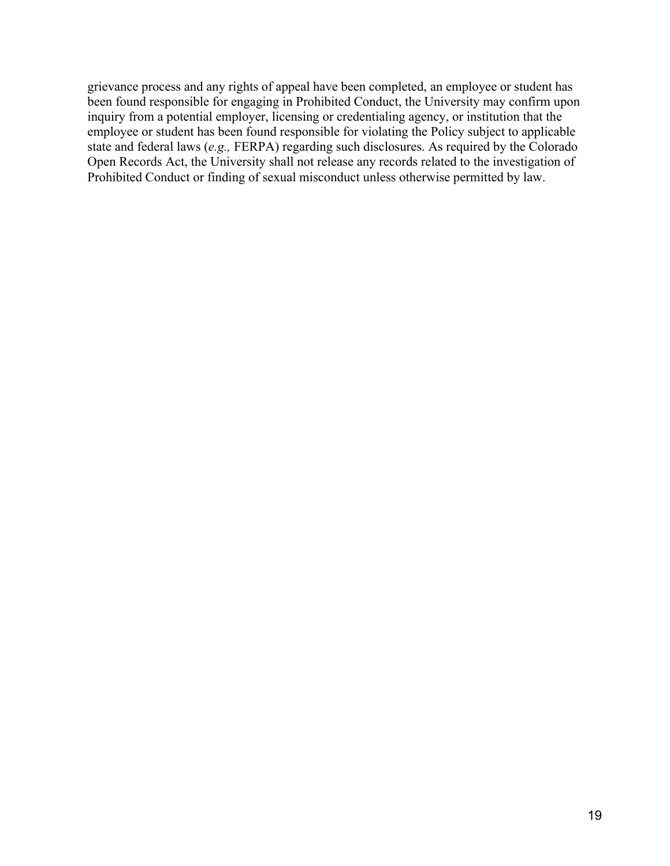grievance process and any rights of appeal have been completed, an employee or student has been found responsible for engaging in Prohibited Conduct, the University may confirm upon inquiry from a potential employer, licensing or credentialing agency, or institution that the employee or student has been found responsible for violating the Policy subject to applicable state and federal laws (*e.g.,* FERPA) regarding such disclosures. As required by the Colorado Open Records Act, the University shall not release any records related to the investigation of Prohibited Conduct or finding of sexual misconduct unless otherwise permitted by law.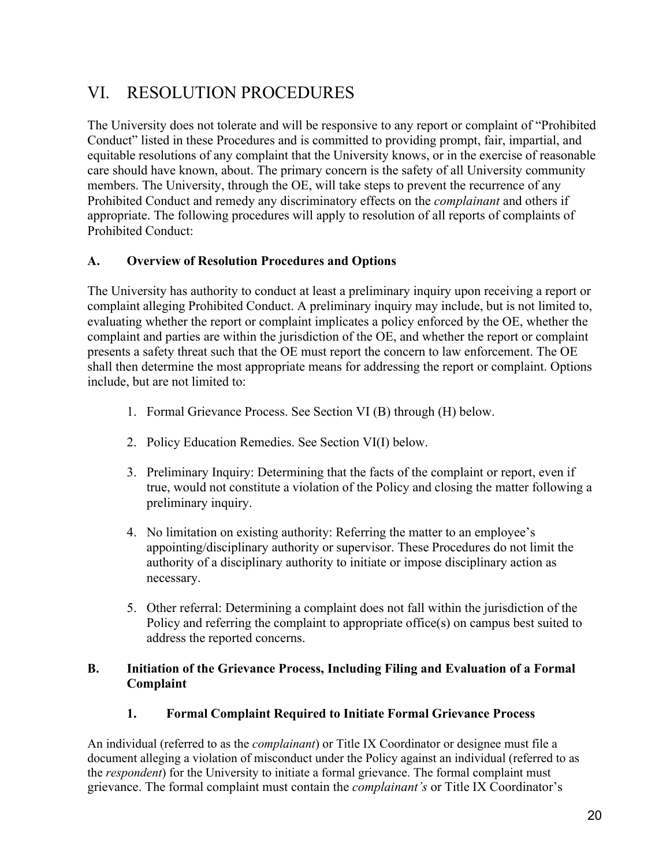# VI. RESOLUTION PROCEDURES

The University does not tolerate and will be responsive to any report or complaint of "Prohibited Conduct" listed in these Procedures and is committed to providing prompt, fair, impartial, and equitable resolutions of any complaint that the University knows, or in the exercise of reasonable care should have known, about. The primary concern is the safety of all University community members. The University, through the OE, will take steps to prevent the recurrence of any Prohibited Conduct and remedy any discriminatory effects on the *complainant* and others if appropriate. The following procedures will apply to resolution of all reports of complaints of Prohibited Conduct:

## **A. Overview of Resolution Procedures and Options**

The University has authority to conduct at least a preliminary inquiry upon receiving a report or complaint alleging Prohibited Conduct. A preliminary inquiry may include, but is not limited to, evaluating whether the report or complaint implicates a policy enforced by the OE, whether the complaint and parties are within the jurisdiction of the OE, and whether the report or complaint presents a safety threat such that the OE must report the concern to law enforcement. The OE shall then determine the most appropriate means for addressing the report or complaint. Options include, but are not limited to:

- 1. Formal Grievance Process. See Section VI (B) through (H) below.
- 2. Policy Education Remedies. See Section VI(I) below.
- 3. Preliminary Inquiry: Determining that the facts of the complaint or report, even if true, would not constitute a violation of the Policy and closing the matter following a preliminary inquiry.
- 4. No limitation on existing authority: Referring the matter to an employee's appointing/disciplinary authority or supervisor. These Procedures do not limit the authority of a disciplinary authority to initiate or impose disciplinary action as necessary.
- 5. Other referral: Determining a complaint does not fall within the jurisdiction of the Policy and referring the complaint to appropriate office(s) on campus best suited to address the reported concerns.

## **B. Initiation of the Grievance Process, Including Filing and Evaluation of a Formal Complaint**

### **1. Formal Complaint Required to Initiate Formal Grievance Process**

An individual (referred to as the *complainant*) or Title IX Coordinator or designee must file a document alleging a violation of misconduct under the Policy against an individual (referred to as the *respondent*) for the University to initiate a formal grievance. The formal complaint must grievance. The formal complaint must contain the *complainant's* or Title IX Coordinator's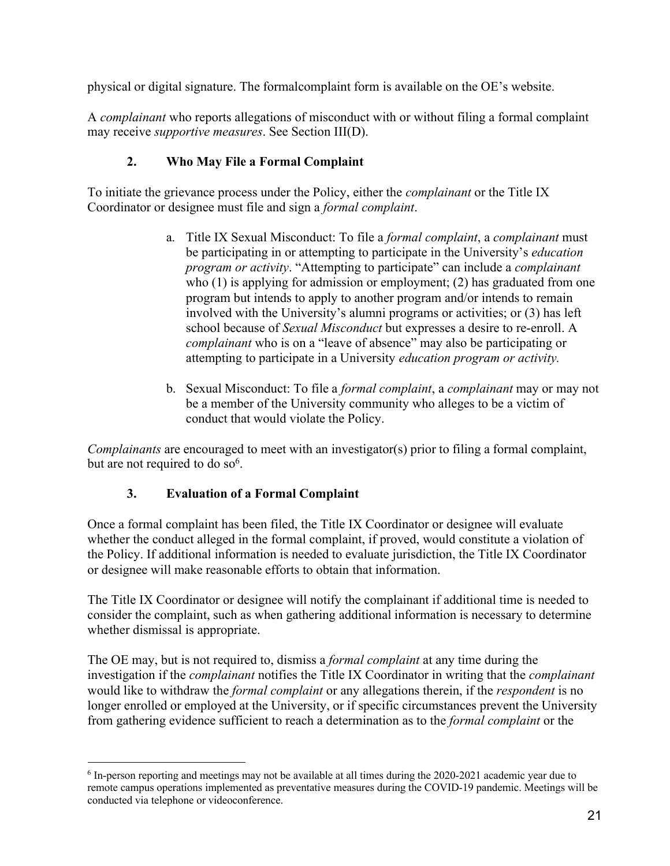physical or digital signature. The formalcomplaint form is available on the OE's website.

A *complainant* who reports allegations of misconduct with or without filing a formal complaint may receive *supportive measures*. See Section III(D).

## **2. Who May File a Formal Complaint**

To initiate the grievance process under the Policy, either the *complainant* or the Title IX Coordinator or designee must file and sign a *formal complaint*.

- a. Title IX Sexual Misconduct: To file a *formal complaint*, a *complainant* must be participating in or attempting to participate in the University's *education program or activity*. "Attempting to participate" can include a *complainant* who (1) is applying for admission or employment; (2) has graduated from one program but intends to apply to another program and/or intends to remain involved with the University's alumni programs or activities; or (3) has left school because of *Sexual Misconduct* but expresses a desire to re-enroll. A *complainant* who is on a "leave of absence" may also be participating or attempting to participate in a University *education program or activity.*
- b. Sexual Misconduct: To file a *formal complaint*, a *complainant* may or may not be a member of the University community who alleges to be a victim of conduct that would violate the Policy.

*Complainants* are encouraged to meet with an investigator(s) prior to filing a formal complaint, but are not required to do so<sup>6</sup>.

# **3. Evaluation of a Formal Complaint**

Once a formal complaint has been filed, the Title IX Coordinator or designee will evaluate whether the conduct alleged in the formal complaint, if proved, would constitute a violation of the Policy. If additional information is needed to evaluate jurisdiction, the Title IX Coordinator or designee will make reasonable efforts to obtain that information.

The Title IX Coordinator or designee will notify the complainant if additional time is needed to consider the complaint, such as when gathering additional information is necessary to determine whether dismissal is appropriate.

The OE may, but is not required to, dismiss a *formal complaint* at any time during the investigation if the *complainant* notifies the Title IX Coordinator in writing that the *complainant* would like to withdraw the *formal complaint* or any allegations therein, if the *respondent* is no longer enrolled or employed at the University, or if specific circumstances prevent the University from gathering evidence sufficient to reach a determination as to the *formal complaint* or the

<sup>&</sup>lt;sup>6</sup> In-person reporting and meetings may not be available at all times during the 2020-2021 academic year due to remote campus operations implemented as preventative measures during the COVID-19 pandemic. Meetings will be conducted via telephone or videoconference.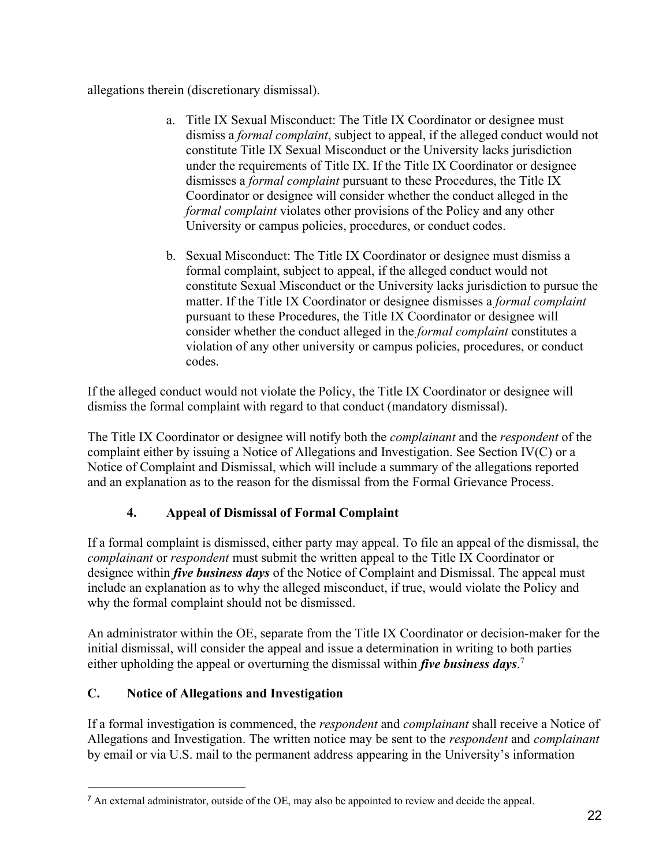allegations therein (discretionary dismissal).

- a. Title IX Sexual Misconduct: The Title IX Coordinator or designee must dismiss a *formal complaint*, subject to appeal, if the alleged conduct would not constitute Title IX Sexual Misconduct or the University lacks jurisdiction under the requirements of Title IX. If the Title IX Coordinator or designee dismisses a *formal complaint* pursuant to these Procedures, the Title IX Coordinator or designee will consider whether the conduct alleged in the *formal complaint* violates other provisions of the Policy and any other University or campus policies, procedures, or conduct codes.
- b. Sexual Misconduct: The Title IX Coordinator or designee must dismiss a formal complaint, subject to appeal, if the alleged conduct would not constitute Sexual Misconduct or the University lacks jurisdiction to pursue the matter. If the Title IX Coordinator or designee dismisses a *formal complaint* pursuant to these Procedures, the Title IX Coordinator or designee will consider whether the conduct alleged in the *formal complaint* constitutes a violation of any other university or campus policies, procedures, or conduct codes.

If the alleged conduct would not violate the Policy, the Title IX Coordinator or designee will dismiss the formal complaint with regard to that conduct (mandatory dismissal).

The Title IX Coordinator or designee will notify both the *complainant* and the *respondent* of the complaint either by issuing a Notice of Allegations and Investigation. See Section IV(C) or a Notice of Complaint and Dismissal, which will include a summary of the allegations reported and an explanation as to the reason for the dismissal from the Formal Grievance Process.

# **4. Appeal of Dismissal of Formal Complaint**

If a formal complaint is dismissed, either party may appeal. To file an appeal of the dismissal, the *complainant* or *respondent* must submit the written appeal to the Title IX Coordinator or designee within *five business days* of the Notice of Complaint and Dismissal. The appeal must include an explanation as to why the alleged misconduct, if true, would violate the Policy and why the formal complaint should not be dismissed.

An administrator within the OE, separate from the Title IX Coordinator or decision-maker for the initial dismissal, will consider the appeal and issue a determination in writing to both parties either upholding the appeal or overturning the dismissal within *five business days*. 7

## **C. Notice of Allegations and Investigation**

If a formal investigation is commenced, the *respondent* and *complainant* shall receive a Notice of Allegations and Investigation. The written notice may be sent to the *respondent* and *complainant* by email or via U.S. mail to the permanent address appearing in the University's information

 $<sup>7</sup>$  An external administrator, outside of the OE, may also be appointed to review and decide the appeal.</sup>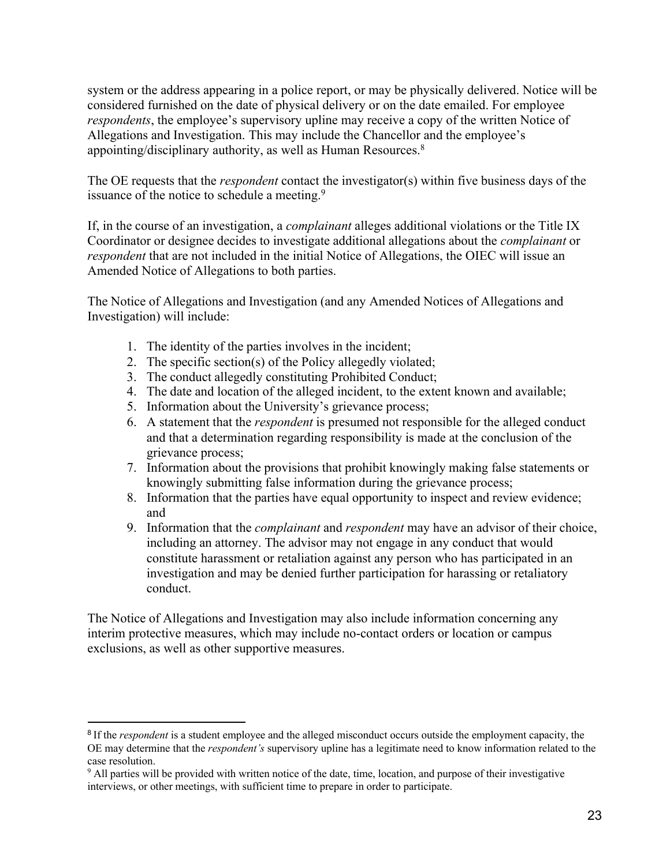system or the address appearing in a police report, or may be physically delivered. Notice will be considered furnished on the date of physical delivery or on the date emailed. For employee *respondents*, the employee's supervisory upline may receive a copy of the written Notice of Allegations and Investigation. This may include the Chancellor and the employee's appointing/disciplinary authority, as well as Human Resources.<sup>8</sup>

The OE requests that the *respondent* contact the investigator(s) within five business days of the issuance of the notice to schedule a meeting.<sup>9</sup>

If, in the course of an investigation, a *complainant* alleges additional violations or the Title IX Coordinator or designee decides to investigate additional allegations about the *complainant* or *respondent* that are not included in the initial Notice of Allegations, the OIEC will issue an Amended Notice of Allegations to both parties.

The Notice of Allegations and Investigation (and any Amended Notices of Allegations and Investigation) will include:

- 1. The identity of the parties involves in the incident;
- 2. The specific section(s) of the Policy allegedly violated;
- 3. The conduct allegedly constituting Prohibited Conduct;
- 4. The date and location of the alleged incident, to the extent known and available;
- 5. Information about the University's grievance process;
- 6. A statement that the *respondent* is presumed not responsible for the alleged conduct and that a determination regarding responsibility is made at the conclusion of the grievance process;
- 7. Information about the provisions that prohibit knowingly making false statements or knowingly submitting false information during the grievance process;
- 8. Information that the parties have equal opportunity to inspect and review evidence; and
- 9. Information that the *complainant* and *respondent* may have an advisor of their choice, including an attorney. The advisor may not engage in any conduct that would constitute harassment or retaliation against any person who has participated in an investigation and may be denied further participation for harassing or retaliatory conduct.

The Notice of Allegations and Investigation may also include information concerning any interim protective measures, which may include no-contact orders or location or campus exclusions, as well as other supportive measures.

<sup>&</sup>lt;sup>8</sup> If the *respondent* is a student employee and the alleged misconduct occurs outside the employment capacity, the OE may determine that the *respondent's* supervisory upline has a legitimate need to know information related to the case resolution.

<sup>&</sup>lt;sup>9</sup> All parties will be provided with written notice of the date, time, location, and purpose of their investigative interviews, or other meetings, with sufficient time to prepare in order to participate.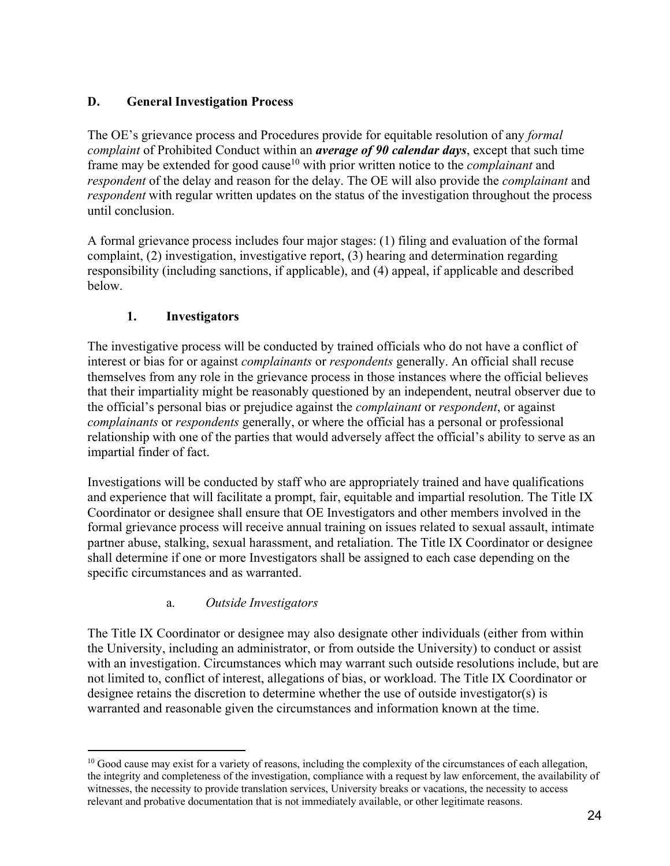## **D. General Investigation Process**

The OE's grievance process and Procedures provide for equitable resolution of any *formal complaint* of Prohibited Conduct within an *average of 90 calendar days*, except that such time frame may be extended for good cause<sup>10</sup> with prior written notice to the *complainant* and *respondent* of the delay and reason for the delay. The OE will also provide the *complainant* and *respondent* with regular written updates on the status of the investigation throughout the process until conclusion.

A formal grievance process includes four major stages: (1) filing and evaluation of the formal complaint, (2) investigation, investigative report, (3) hearing and determination regarding responsibility (including sanctions, if applicable), and (4) appeal, if applicable and described below.

## **1. Investigators**

The investigative process will be conducted by trained officials who do not have a conflict of interest or bias for or against *complainants* or *respondents* generally. An official shall recuse themselves from any role in the grievance process in those instances where the official believes that their impartiality might be reasonably questioned by an independent, neutral observer due to the official's personal bias or prejudice against the *complainant* or *respondent*, or against *complainants* or *respondents* generally, or where the official has a personal or professional relationship with one of the parties that would adversely affect the official's ability to serve as an impartial finder of fact.

Investigations will be conducted by staff who are appropriately trained and have qualifications and experience that will facilitate a prompt, fair, equitable and impartial resolution. The Title IX Coordinator or designee shall ensure that OE Investigators and other members involved in the formal grievance process will receive annual training on issues related to sexual assault, intimate partner abuse, stalking, sexual harassment, and retaliation. The Title IX Coordinator or designee shall determine if one or more Investigators shall be assigned to each case depending on the specific circumstances and as warranted.

## a. *Outside Investigators*

The Title IX Coordinator or designee may also designate other individuals (either from within the University, including an administrator, or from outside the University) to conduct or assist with an investigation. Circumstances which may warrant such outside resolutions include, but are not limited to, conflict of interest, allegations of bias, or workload. The Title IX Coordinator or designee retains the discretion to determine whether the use of outside investigator(s) is warranted and reasonable given the circumstances and information known at the time.

<sup>&</sup>lt;sup>10</sup> Good cause may exist for a variety of reasons, including the complexity of the circumstances of each allegation, the integrity and completeness of the investigation, compliance with a request by law enforcement, the availability of witnesses, the necessity to provide translation services, University breaks or vacations, the necessity to access relevant and probative documentation that is not immediately available, or other legitimate reasons.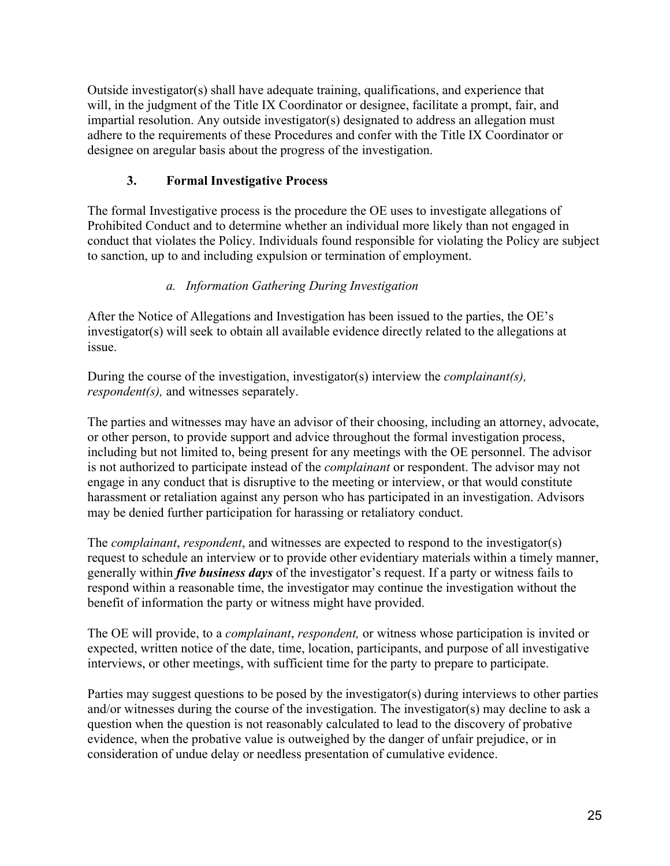Outside investigator(s) shall have adequate training, qualifications, and experience that will, in the judgment of the Title IX Coordinator or designee, facilitate a prompt, fair, and impartial resolution. Any outside investigator(s) designated to address an allegation must adhere to the requirements of these Procedures and confer with the Title IX Coordinator or designee on aregular basis about the progress of the investigation.

## **3. Formal Investigative Process**

The formal Investigative process is the procedure the OE uses to investigate allegations of Prohibited Conduct and to determine whether an individual more likely than not engaged in conduct that violates the Policy. Individuals found responsible for violating the Policy are subject to sanction, up to and including expulsion or termination of employment.

### *a. Information Gathering During Investigation*

After the Notice of Allegations and Investigation has been issued to the parties, the OE's investigator(s) will seek to obtain all available evidence directly related to the allegations at issue.

During the course of the investigation, investigator(s) interview the *complainant(s), respondent(s),* and witnesses separately.

The parties and witnesses may have an advisor of their choosing, including an attorney, advocate, or other person, to provide support and advice throughout the formal investigation process, including but not limited to, being present for any meetings with the OE personnel. The advisor is not authorized to participate instead of the *complainant* or respondent. The advisor may not engage in any conduct that is disruptive to the meeting or interview, or that would constitute harassment or retaliation against any person who has participated in an investigation. Advisors may be denied further participation for harassing or retaliatory conduct.

The *complainant*, *respondent*, and witnesses are expected to respond to the investigator(s) request to schedule an interview or to provide other evidentiary materials within a timely manner, generally within *five business days* of the investigator's request. If a party or witness fails to respond within a reasonable time, the investigator may continue the investigation without the benefit of information the party or witness might have provided.

The OE will provide, to a *complainant*, *respondent,* or witness whose participation is invited or expected, written notice of the date, time, location, participants, and purpose of all investigative interviews, or other meetings, with sufficient time for the party to prepare to participate.

Parties may suggest questions to be posed by the investigator(s) during interviews to other parties and/or witnesses during the course of the investigation. The investigator(s) may decline to ask a question when the question is not reasonably calculated to lead to the discovery of probative evidence, when the probative value is outweighed by the danger of unfair prejudice, or in consideration of undue delay or needless presentation of cumulative evidence.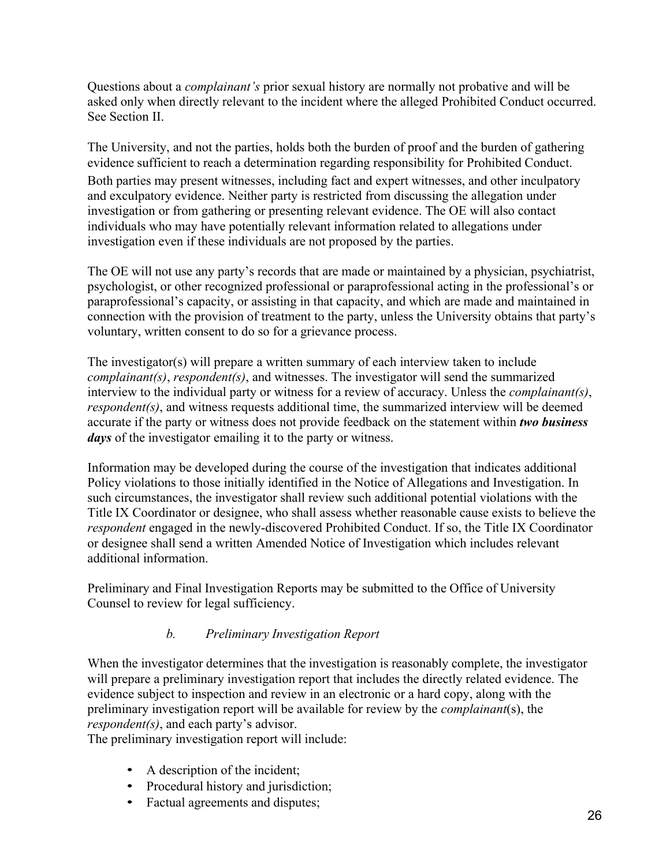Questions about a *complainant's* prior sexual history are normally not probative and will be asked only when directly relevant to the incident where the alleged Prohibited Conduct occurred. See Section II.

The University, and not the parties, holds both the burden of proof and the burden of gathering evidence sufficient to reach a determination regarding responsibility for Prohibited Conduct. Both parties may present witnesses, including fact and expert witnesses, and other inculpatory and exculpatory evidence. Neither party is restricted from discussing the allegation under investigation or from gathering or presenting relevant evidence. The OE will also contact individuals who may have potentially relevant information related to allegations under investigation even if these individuals are not proposed by the parties.

The OE will not use any party's records that are made or maintained by a physician, psychiatrist, psychologist, or other recognized professional or paraprofessional acting in the professional's or paraprofessional's capacity, or assisting in that capacity, and which are made and maintained in connection with the provision of treatment to the party, unless the University obtains that party's voluntary, written consent to do so for a grievance process.

The investigator(s) will prepare a written summary of each interview taken to include *complainant(s)*, *respondent(s)*, and witnesses. The investigator will send the summarized interview to the individual party or witness for a review of accuracy. Unless the *complainant(s)*, *respondent(s)*, and witness requests additional time, the summarized interview will be deemed accurate if the party or witness does not provide feedback on the statement within *two business days* of the investigator emailing it to the party or witness.

Information may be developed during the course of the investigation that indicates additional Policy violations to those initially identified in the Notice of Allegations and Investigation. In such circumstances, the investigator shall review such additional potential violations with the Title IX Coordinator or designee, who shall assess whether reasonable cause exists to believe the *respondent* engaged in the newly-discovered Prohibited Conduct. If so, the Title IX Coordinator or designee shall send a written Amended Notice of Investigation which includes relevant additional information.

Preliminary and Final Investigation Reports may be submitted to the Office of University Counsel to review for legal sufficiency.

## *b. Preliminary Investigation Report*

When the investigator determines that the investigation is reasonably complete, the investigator will prepare a preliminary investigation report that includes the directly related evidence. The evidence subject to inspection and review in an electronic or a hard copy, along with the preliminary investigation report will be available for review by the *complainant*(s), the *respondent(s)*, and each party's advisor.

The preliminary investigation report will include:

- A description of the incident;
- Procedural history and jurisdiction;
- Factual agreements and disputes;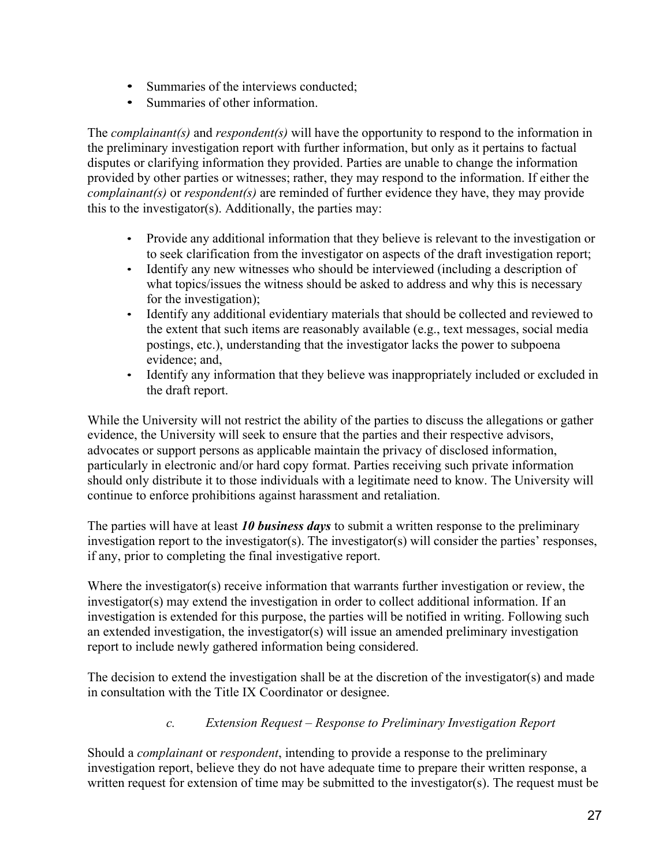- Summaries of the interviews conducted;
- Summaries of other information.

The *complainant(s)* and *respondent(s)* will have the opportunity to respond to the information in the preliminary investigation report with further information, but only as it pertains to factual disputes or clarifying information they provided. Parties are unable to change the information provided by other parties or witnesses; rather, they may respond to the information. If either the *complainant(s)* or *respondent(s)* are reminded of further evidence they have, they may provide this to the investigator(s). Additionally, the parties may:

- Provide any additional information that they believe is relevant to the investigation or to seek clarification from the investigator on aspects of the draft investigation report;
- Identify any new witnesses who should be interviewed (including a description of what topics/issues the witness should be asked to address and why this is necessary for the investigation);
- Identify any additional evidentiary materials that should be collected and reviewed to the extent that such items are reasonably available (e.g., text messages, social media postings, etc.), understanding that the investigator lacks the power to subpoena evidence; and,
- Identify any information that they believe was inappropriately included or excluded in the draft report.

While the University will not restrict the ability of the parties to discuss the allegations or gather evidence, the University will seek to ensure that the parties and their respective advisors, advocates or support persons as applicable maintain the privacy of disclosed information, particularly in electronic and/or hard copy format. Parties receiving such private information should only distribute it to those individuals with a legitimate need to know. The University will continue to enforce prohibitions against harassment and retaliation.

The parties will have at least *10 business days* to submit a written response to the preliminary investigation report to the investigator(s). The investigator(s) will consider the parties' responses, if any, prior to completing the final investigative report.

Where the investigator(s) receive information that warrants further investigation or review, the investigator(s) may extend the investigation in order to collect additional information. If an investigation is extended for this purpose, the parties will be notified in writing. Following such an extended investigation, the investigator(s) will issue an amended preliminary investigation report to include newly gathered information being considered.

The decision to extend the investigation shall be at the discretion of the investigator(s) and made in consultation with the Title IX Coordinator or designee.

### *c. Extension Request – Response to Preliminary Investigation Report*

Should a *complainant* or *respondent*, intending to provide a response to the preliminary investigation report, believe they do not have adequate time to prepare their written response, a written request for extension of time may be submitted to the investigator(s). The request must be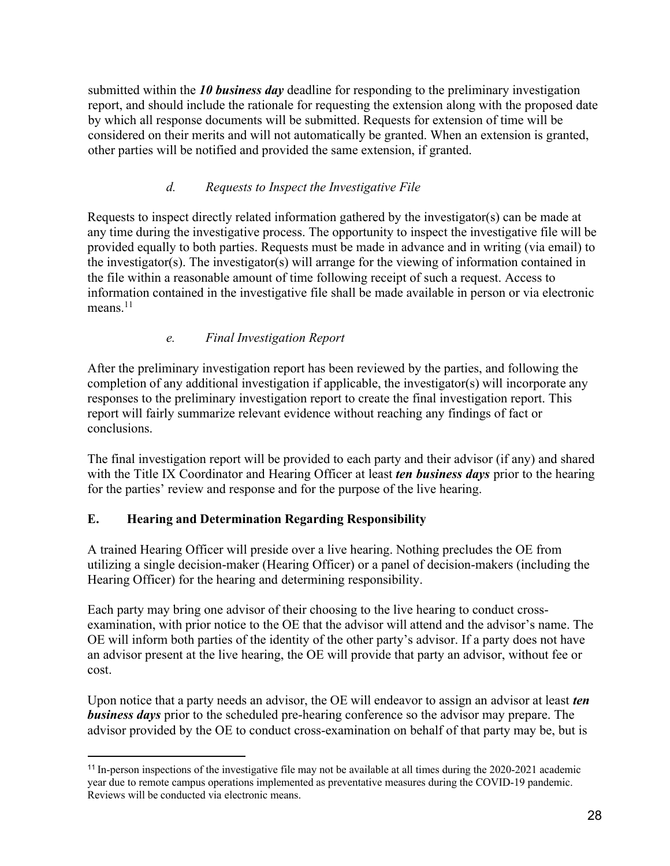submitted within the *10 business day* deadline for responding to the preliminary investigation report, and should include the rationale for requesting the extension along with the proposed date by which all response documents will be submitted. Requests for extension of time will be considered on their merits and will not automatically be granted. When an extension is granted, other parties will be notified and provided the same extension, if granted.

## *d. Requests to Inspect the Investigative File*

Requests to inspect directly related information gathered by the investigator(s) can be made at any time during the investigative process. The opportunity to inspect the investigative file will be provided equally to both parties. Requests must be made in advance and in writing (via email) to the investigator(s). The investigator(s) will arrange for the viewing of information contained in the file within a reasonable amount of time following receipt of such a request. Access to information contained in the investigative file shall be made available in person or via electronic means.<sup>11</sup>

## *e. Final Investigation Report*

After the preliminary investigation report has been reviewed by the parties, and following the completion of any additional investigation if applicable, the investigator(s) will incorporate any responses to the preliminary investigation report to create the final investigation report. This report will fairly summarize relevant evidence without reaching any findings of fact or conclusions.

The final investigation report will be provided to each party and their advisor (if any) and shared with the Title IX Coordinator and Hearing Officer at least *ten business days* prior to the hearing for the parties' review and response and for the purpose of the live hearing.

### **E. Hearing and Determination Regarding Responsibility**

A trained Hearing Officer will preside over a live hearing. Nothing precludes the OE from utilizing a single decision-maker (Hearing Officer) or a panel of decision-makers (including the Hearing Officer) for the hearing and determining responsibility.

Each party may bring one advisor of their choosing to the live hearing to conduct crossexamination, with prior notice to the OE that the advisor will attend and the advisor's name. The OE will inform both parties of the identity of the other party's advisor. If a party does not have an advisor present at the live hearing, the OE will provide that party an advisor, without fee or cost.

Upon notice that a party needs an advisor, the OE will endeavor to assign an advisor at least *ten business days* prior to the scheduled pre-hearing conference so the advisor may prepare. The advisor provided by the OE to conduct cross-examination on behalf of that party may be, but is

<sup>&</sup>lt;sup>11</sup> In-person inspections of the investigative file may not be available at all times during the 2020-2021 academic year due to remote campus operations implemented as preventative measures during the COVID-19 pandemic. Reviews will be conducted via electronic means.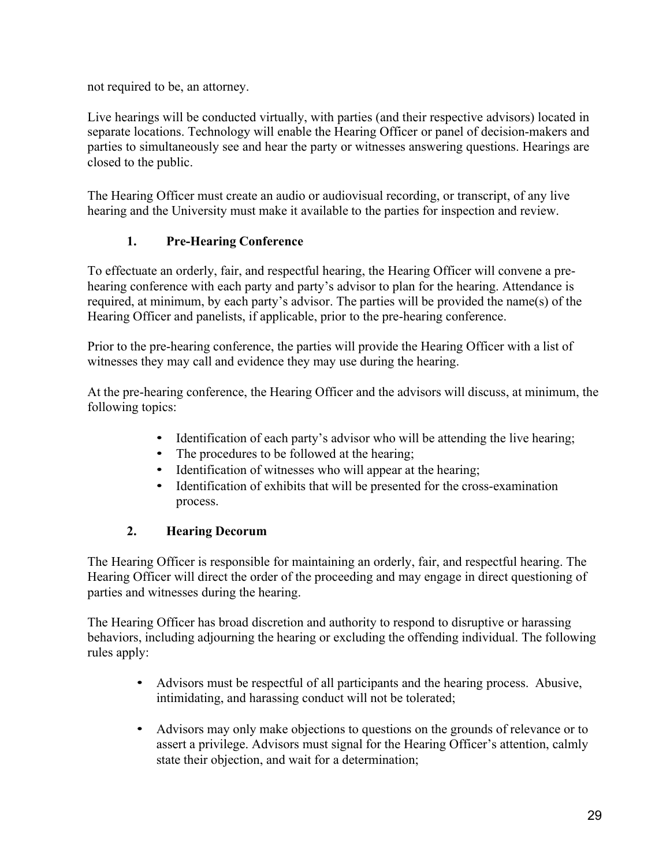not required to be, an attorney.

Live hearings will be conducted virtually, with parties (and their respective advisors) located in separate locations. Technology will enable the Hearing Officer or panel of decision-makers and parties to simultaneously see and hear the party or witnesses answering questions. Hearings are closed to the public.

The Hearing Officer must create an audio or audiovisual recording, or transcript, of any live hearing and the University must make it available to the parties for inspection and review.

## **1. Pre-Hearing Conference**

To effectuate an orderly, fair, and respectful hearing, the Hearing Officer will convene a prehearing conference with each party and party's advisor to plan for the hearing. Attendance is required, at minimum, by each party's advisor. The parties will be provided the name(s) of the Hearing Officer and panelists, if applicable, prior to the pre-hearing conference.

Prior to the pre-hearing conference, the parties will provide the Hearing Officer with a list of witnesses they may call and evidence they may use during the hearing.

At the pre-hearing conference, the Hearing Officer and the advisors will discuss, at minimum, the following topics:

- Identification of each party's advisor who will be attending the live hearing;
- The procedures to be followed at the hearing;
- Identification of witnesses who will appear at the hearing;
- Identification of exhibits that will be presented for the cross-examination process.

## **2. Hearing Decorum**

The Hearing Officer is responsible for maintaining an orderly, fair, and respectful hearing. The Hearing Officer will direct the order of the proceeding and may engage in direct questioning of parties and witnesses during the hearing.

The Hearing Officer has broad discretion and authority to respond to disruptive or harassing behaviors, including adjourning the hearing or excluding the offending individual. The following rules apply:

- Advisors must be respectful of all participants and the hearing process. Abusive, intimidating, and harassing conduct will not be tolerated;
- Advisors may only make objections to questions on the grounds of relevance or to assert a privilege. Advisors must signal for the Hearing Officer's attention, calmly state their objection, and wait for a determination;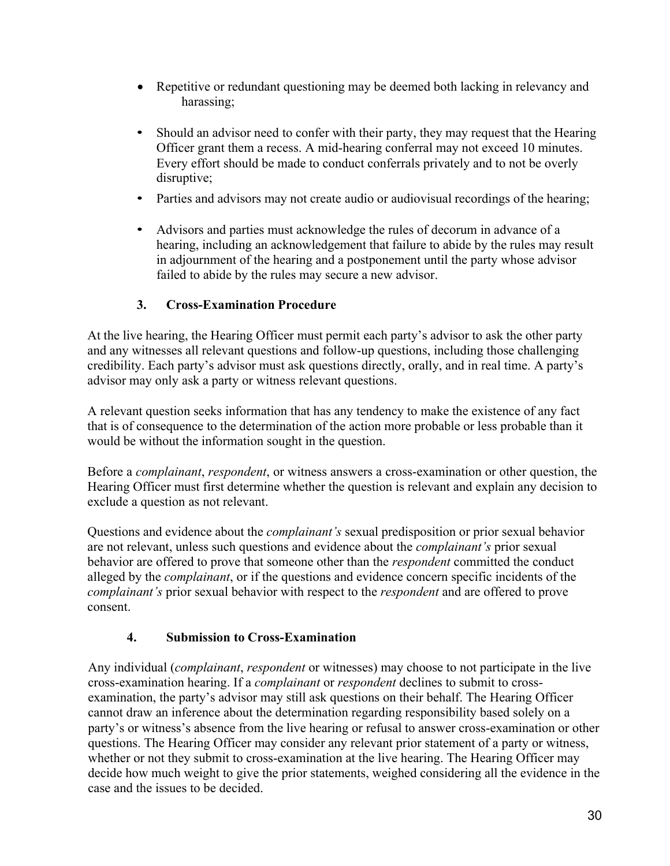- Repetitive or redundant questioning may be deemed both lacking in relevancy and harassing;
- Should an advisor need to confer with their party, they may request that the Hearing Officer grant them a recess. A mid-hearing conferral may not exceed 10 minutes. Every effort should be made to conduct conferrals privately and to not be overly disruptive;
- Parties and advisors may not create audio or audiovisual recordings of the hearing;
- Advisors and parties must acknowledge the rules of decorum in advance of a hearing, including an acknowledgement that failure to abide by the rules may result in adjournment of the hearing and a postponement until the party whose advisor failed to abide by the rules may secure a new advisor.

## **3. Cross-Examination Procedure**

At the live hearing, the Hearing Officer must permit each party's advisor to ask the other party and any witnesses all relevant questions and follow-up questions, including those challenging credibility. Each party's advisor must ask questions directly, orally, and in real time. A party's advisor may only ask a party or witness relevant questions.

A relevant question seeks information that has any tendency to make the existence of any fact that is of consequence to the determination of the action more probable or less probable than it would be without the information sought in the question.

Before a *complainant*, *respondent*, or witness answers a cross-examination or other question, the Hearing Officer must first determine whether the question is relevant and explain any decision to exclude a question as not relevant.

Questions and evidence about the *complainant's* sexual predisposition or prior sexual behavior are not relevant, unless such questions and evidence about the *complainant's* prior sexual behavior are offered to prove that someone other than the *respondent* committed the conduct alleged by the *complainant*, or if the questions and evidence concern specific incidents of the *complainant's* prior sexual behavior with respect to the *respondent* and are offered to prove consent.

## **4. Submission to Cross-Examination**

Any individual (*complainant*, *respondent* or witnesses) may choose to not participate in the live cross-examination hearing. If a *complainant* or *respondent* declines to submit to crossexamination, the party's advisor may still ask questions on their behalf. The Hearing Officer cannot draw an inference about the determination regarding responsibility based solely on a party's or witness's absence from the live hearing or refusal to answer cross-examination or other questions. The Hearing Officer may consider any relevant prior statement of a party or witness, whether or not they submit to cross-examination at the live hearing. The Hearing Officer may decide how much weight to give the prior statements, weighed considering all the evidence in the case and the issues to be decided.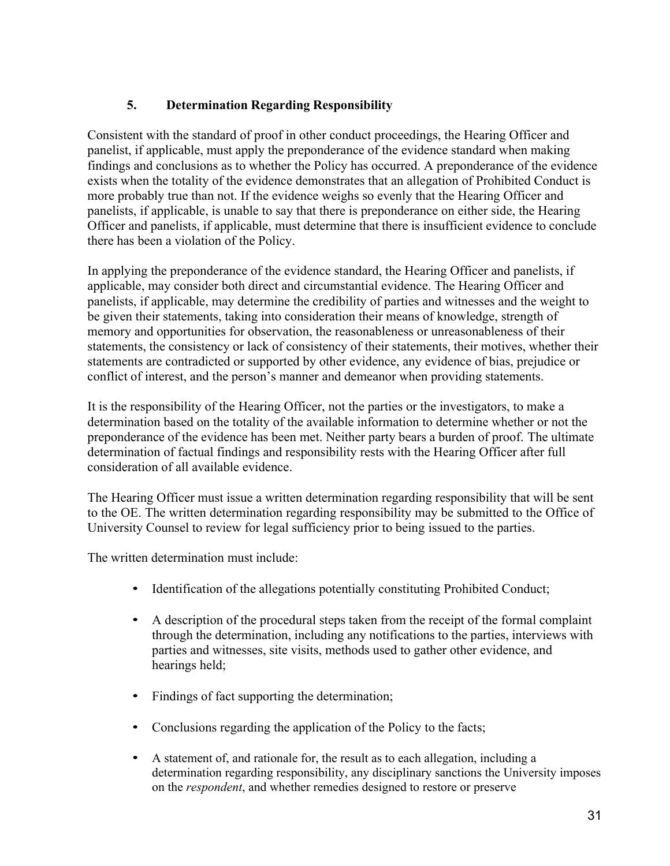## **5. Determination Regarding Responsibility**

Consistent with the standard of proof in other conduct proceedings, the Hearing Officer and panelist, if applicable, must apply the preponderance of the evidence standard when making findings and conclusions as to whether the Policy has occurred. A preponderance of the evidence exists when the totality of the evidence demonstrates that an allegation of Prohibited Conduct is more probably true than not. If the evidence weighs so evenly that the Hearing Officer and panelists, if applicable, is unable to say that there is preponderance on either side, the Hearing Officer and panelists, if applicable, must determine that there is insufficient evidence to conclude there has been a violation of the Policy.

In applying the preponderance of the evidence standard, the Hearing Officer and panelists, if applicable, may consider both direct and circumstantial evidence. The Hearing Officer and panelists, if applicable, may determine the credibility of parties and witnesses and the weight to be given their statements, taking into consideration their means of knowledge, strength of memory and opportunities for observation, the reasonableness or unreasonableness of their statements, the consistency or lack of consistency of their statements, their motives, whether their statements are contradicted or supported by other evidence, any evidence of bias, prejudice or conflict of interest, and the person's manner and demeanor when providing statements.

It is the responsibility of the Hearing Officer, not the parties or the investigators, to make a determination based on the totality of the available information to determine whether or not the preponderance of the evidence has been met. Neither party bears a burden of proof. The ultimate determination of factual findings and responsibility rests with the Hearing Officer after full consideration of all available evidence.

The Hearing Officer must issue a written determination regarding responsibility that will be sent to the OE. The written determination regarding responsibility may be submitted to the Office of University Counsel to review for legal sufficiency prior to being issued to the parties.

The written determination must include:

- Identification of the allegations potentially constituting Prohibited Conduct;
- A description of the procedural steps taken from the receipt of the formal complaint through the determination, including any notifications to the parties, interviews with parties and witnesses, site visits, methods used to gather other evidence, and hearings held;
- Findings of fact supporting the determination;
- Conclusions regarding the application of the Policy to the facts;
- A statement of, and rationale for, the result as to each allegation, including a determination regarding responsibility, any disciplinary sanctions the University imposes on the *respondent*, and whether remedies designed to restore or preserve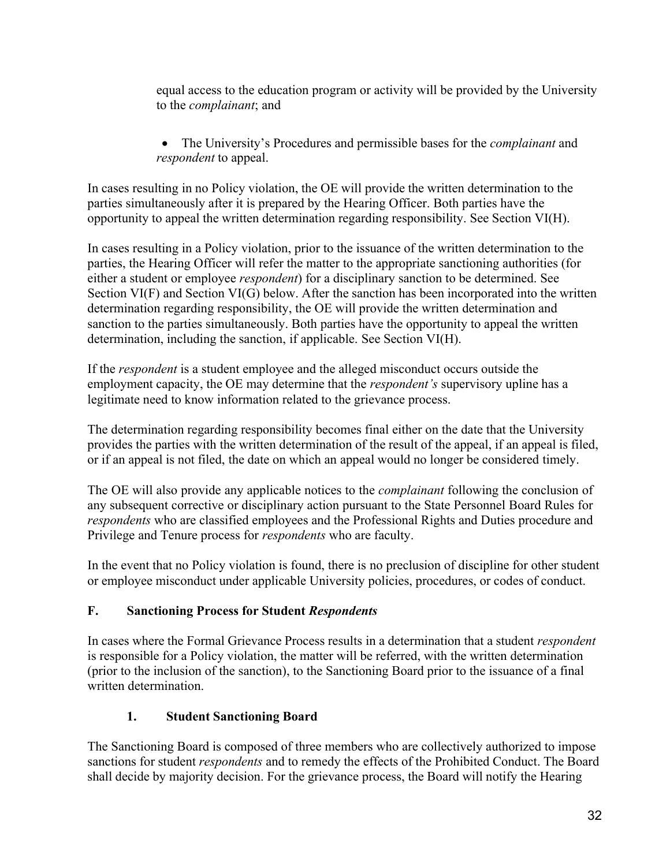equal access to the education program or activity will be provided by the University to the *complainant*; and

• The University's Procedures and permissible bases for the *complainant* and *respondent* to appeal.

In cases resulting in no Policy violation, the OE will provide the written determination to the parties simultaneously after it is prepared by the Hearing Officer. Both parties have the opportunity to appeal the written determination regarding responsibility. See Section VI(H).

In cases resulting in a Policy violation, prior to the issuance of the written determination to the parties, the Hearing Officer will refer the matter to the appropriate sanctioning authorities (for either a student or employee *respondent*) for a disciplinary sanction to be determined. See Section VI(F) and Section VI(G) below. After the sanction has been incorporated into the written determination regarding responsibility, the OE will provide the written determination and sanction to the parties simultaneously. Both parties have the opportunity to appeal the written determination, including the sanction, if applicable. See Section VI(H).

If the *respondent* is a student employee and the alleged misconduct occurs outside the employment capacity, the OE may determine that the *respondent's* supervisory upline has a legitimate need to know information related to the grievance process.

The determination regarding responsibility becomes final either on the date that the University provides the parties with the written determination of the result of the appeal, if an appeal is filed, or if an appeal is not filed, the date on which an appeal would no longer be considered timely.

The OE will also provide any applicable notices to the *complainant* following the conclusion of any subsequent corrective or disciplinary action pursuant to the State Personnel Board Rules for *respondents* who are classified employees and the Professional Rights and Duties procedure and Privilege and Tenure process for *respondents* who are faculty.

In the event that no Policy violation is found, there is no preclusion of discipline for other student or employee misconduct under applicable University policies, procedures, or codes of conduct.

## **F. Sanctioning Process for Student** *Respondents*

In cases where the Formal Grievance Process results in a determination that a student *respondent* is responsible for a Policy violation, the matter will be referred, with the written determination (prior to the inclusion of the sanction), to the Sanctioning Board prior to the issuance of a final written determination.

## **1. Student Sanctioning Board**

The Sanctioning Board is composed of three members who are collectively authorized to impose sanctions for student *respondents* and to remedy the effects of the Prohibited Conduct. The Board shall decide by majority decision. For the grievance process, the Board will notify the Hearing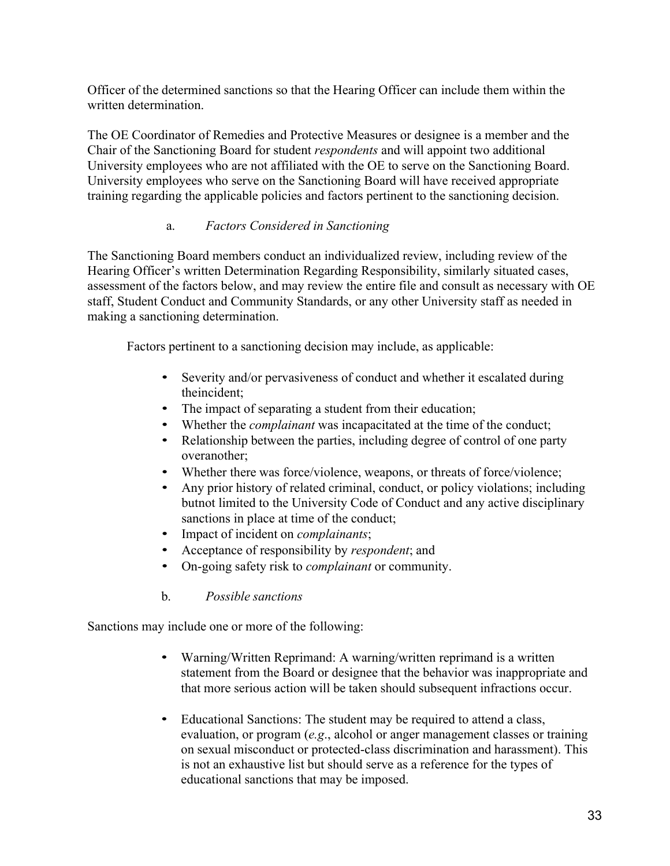Officer of the determined sanctions so that the Hearing Officer can include them within the written determination.

The OE Coordinator of Remedies and Protective Measures or designee is a member and the Chair of the Sanctioning Board for student *respondents* and will appoint two additional University employees who are not affiliated with the OE to serve on the Sanctioning Board. University employees who serve on the Sanctioning Board will have received appropriate training regarding the applicable policies and factors pertinent to the sanctioning decision.

### a. *Factors Considered in Sanctioning*

The Sanctioning Board members conduct an individualized review, including review of the Hearing Officer's written Determination Regarding Responsibility, similarly situated cases, assessment of the factors below, and may review the entire file and consult as necessary with OE staff, Student Conduct and Community Standards, or any other University staff as needed in making a sanctioning determination.

Factors pertinent to a sanctioning decision may include, as applicable:

- Severity and/or pervasiveness of conduct and whether it escalated during theincident;
- The impact of separating a student from their education;
- Whether the *complainant* was incapacitated at the time of the conduct;
- Relationship between the parties, including degree of control of one party overanother;
- Whether there was force/violence, weapons, or threats of force/violence;
- Any prior history of related criminal, conduct, or policy violations; including butnot limited to the University Code of Conduct and any active disciplinary sanctions in place at time of the conduct;
- Impact of incident on *complainants*;
- Acceptance of responsibility by *respondent*; and
- On-going safety risk to *complainant* or community.
- b. *Possible sanctions*

Sanctions may include one or more of the following:

- Warning/Written Reprimand: A warning/written reprimand is a written statement from the Board or designee that the behavior was inappropriate and that more serious action will be taken should subsequent infractions occur.
- Educational Sanctions: The student may be required to attend a class, evaluation, or program (*e.g*., alcohol or anger management classes or training on sexual misconduct or protected-class discrimination and harassment). This is not an exhaustive list but should serve as a reference for the types of educational sanctions that may be imposed.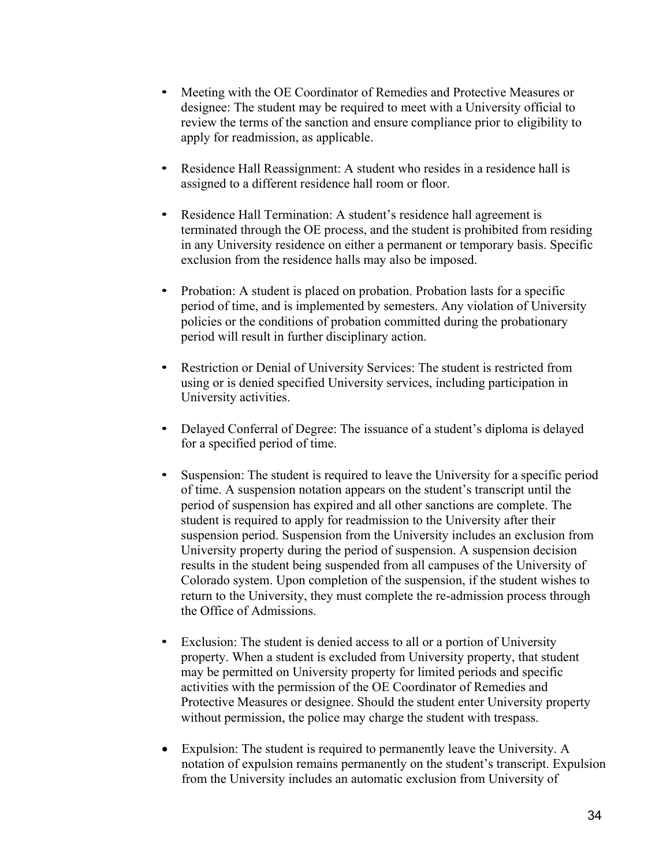- Meeting with the OE Coordinator of Remedies and Protective Measures or designee: The student may be required to meet with a University official to review the terms of the sanction and ensure compliance prior to eligibility to apply for readmission, as applicable.
- Residence Hall Reassignment: A student who resides in a residence hall is assigned to a different residence hall room or floor.
- Residence Hall Termination: A student's residence hall agreement is terminated through the OE process, and the student is prohibited from residing in any University residence on either a permanent or temporary basis. Specific exclusion from the residence halls may also be imposed.
- Probation: A student is placed on probation. Probation lasts for a specific period of time, and is implemented by semesters. Any violation of University policies or the conditions of probation committed during the probationary period will result in further disciplinary action.
- Restriction or Denial of University Services: The student is restricted from using or is denied specified University services, including participation in University activities.
- Delayed Conferral of Degree: The issuance of a student's diploma is delayed for a specified period of time.
- Suspension: The student is required to leave the University for a specific period of time. A suspension notation appears on the student's transcript until the period of suspension has expired and all other sanctions are complete. The student is required to apply for readmission to the University after their suspension period. Suspension from the University includes an exclusion from University property during the period of suspension. A suspension decision results in the student being suspended from all campuses of the University of Colorado system. Upon completion of the suspension, if the student wishes to return to the University, they must complete the re-admission process through the Office of Admissions.
- Exclusion: The student is denied access to all or a portion of University property. When a student is excluded from University property, that student may be permitted on University property for limited periods and specific activities with the permission of the OE Coordinator of Remedies and Protective Measures or designee. Should the student enter University property without permission, the police may charge the student with trespass.
- Expulsion: The student is required to permanently leave the University. A notation of expulsion remains permanently on the student's transcript. Expulsion from the University includes an automatic exclusion from University of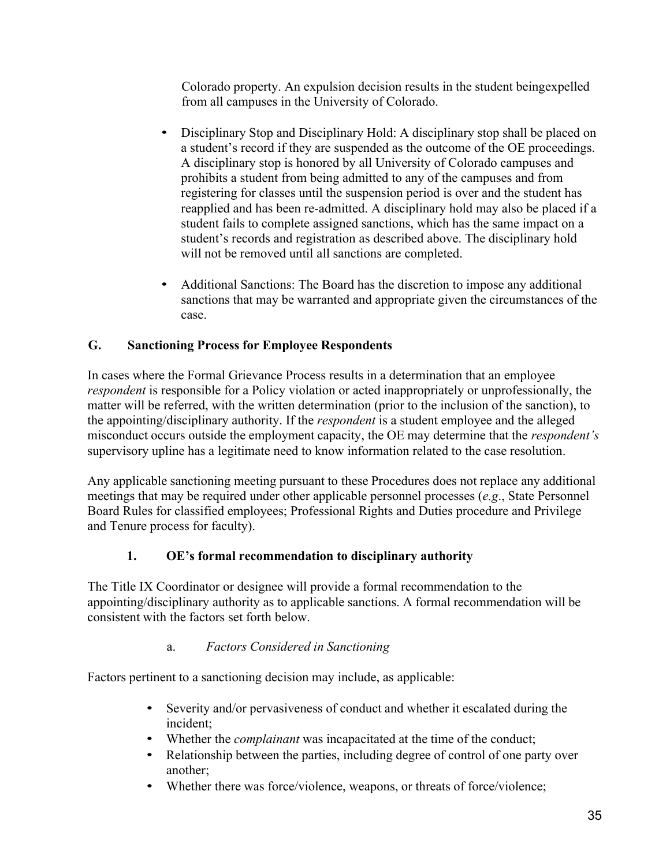Colorado property. An expulsion decision results in the student beingexpelled from all campuses in the University of Colorado.

- Disciplinary Stop and Disciplinary Hold: A disciplinary stop shall be placed on a student's record if they are suspended as the outcome of the OE proceedings. A disciplinary stop is honored by all University of Colorado campuses and prohibits a student from being admitted to any of the campuses and from registering for classes until the suspension period is over and the student has reapplied and has been re-admitted. A disciplinary hold may also be placed if a student fails to complete assigned sanctions, which has the same impact on a student's records and registration as described above. The disciplinary hold will not be removed until all sanctions are completed.
- Additional Sanctions: The Board has the discretion to impose any additional sanctions that may be warranted and appropriate given the circumstances of the case.

## **G. Sanctioning Process for Employee Respondents**

In cases where the Formal Grievance Process results in a determination that an employee *respondent* is responsible for a Policy violation or acted inappropriately or unprofessionally, the matter will be referred, with the written determination (prior to the inclusion of the sanction), to the appointing/disciplinary authority. If the *respondent* is a student employee and the alleged misconduct occurs outside the employment capacity, the OE may determine that the *respondent's* supervisory upline has a legitimate need to know information related to the case resolution.

Any applicable sanctioning meeting pursuant to these Procedures does not replace any additional meetings that may be required under other applicable personnel processes (*e.g*., State Personnel Board Rules for classified employees; Professional Rights and Duties procedure and Privilege and Tenure process for faculty).

# **1. OE's formal recommendation to disciplinary authority**

The Title IX Coordinator or designee will provide a formal recommendation to the appointing/disciplinary authority as to applicable sanctions. A formal recommendation will be consistent with the factors set forth below.

## a. *Factors Considered in Sanctioning*

Factors pertinent to a sanctioning decision may include, as applicable:

- Severity and/or pervasiveness of conduct and whether it escalated during the incident;
- Whether the *complainant* was incapacitated at the time of the conduct;
- Relationship between the parties, including degree of control of one party over another;
- Whether there was force/violence, weapons, or threats of force/violence;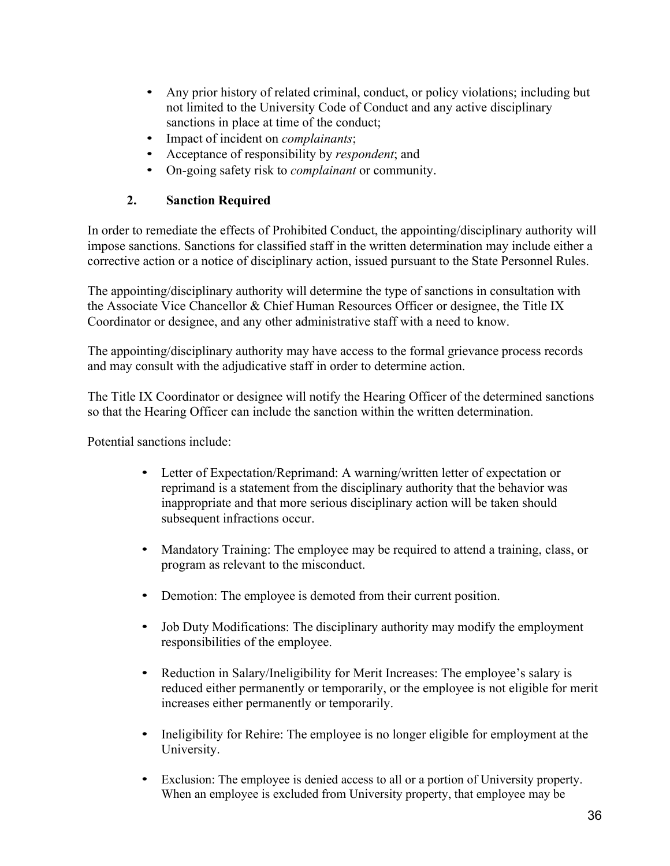- Any prior history of related criminal, conduct, or policy violations; including but not limited to the University Code of Conduct and any active disciplinary sanctions in place at time of the conduct;
- Impact of incident on *complainants*;
- Acceptance of responsibility by *respondent*; and
- On-going safety risk to *complainant* or community.

## **2. Sanction Required**

In order to remediate the effects of Prohibited Conduct, the appointing/disciplinary authority will impose sanctions. Sanctions for classified staff in the written determination may include either a corrective action or a notice of disciplinary action, issued pursuant to the State Personnel Rules.

The appointing/disciplinary authority will determine the type of sanctions in consultation with the Associate Vice Chancellor & Chief Human Resources Officer or designee, the Title IX Coordinator or designee, and any other administrative staff with a need to know.

The appointing/disciplinary authority may have access to the formal grievance process records and may consult with the adjudicative staff in order to determine action.

The Title IX Coordinator or designee will notify the Hearing Officer of the determined sanctions so that the Hearing Officer can include the sanction within the written determination.

Potential sanctions include:

- Letter of Expectation/Reprimand: A warning/written letter of expectation or reprimand is a statement from the disciplinary authority that the behavior was inappropriate and that more serious disciplinary action will be taken should subsequent infractions occur.
- Mandatory Training: The employee may be required to attend a training, class, or program as relevant to the misconduct.
- Demotion: The employee is demoted from their current position.
- Job Duty Modifications: The disciplinary authority may modify the employment responsibilities of the employee.
- Reduction in Salary/Ineligibility for Merit Increases: The employee's salary is reduced either permanently or temporarily, or the employee is not eligible for merit increases either permanently or temporarily.
- Ineligibility for Rehire: The employee is no longer eligible for employment at the University.
- Exclusion: The employee is denied access to all or a portion of University property. When an employee is excluded from University property, that employee may be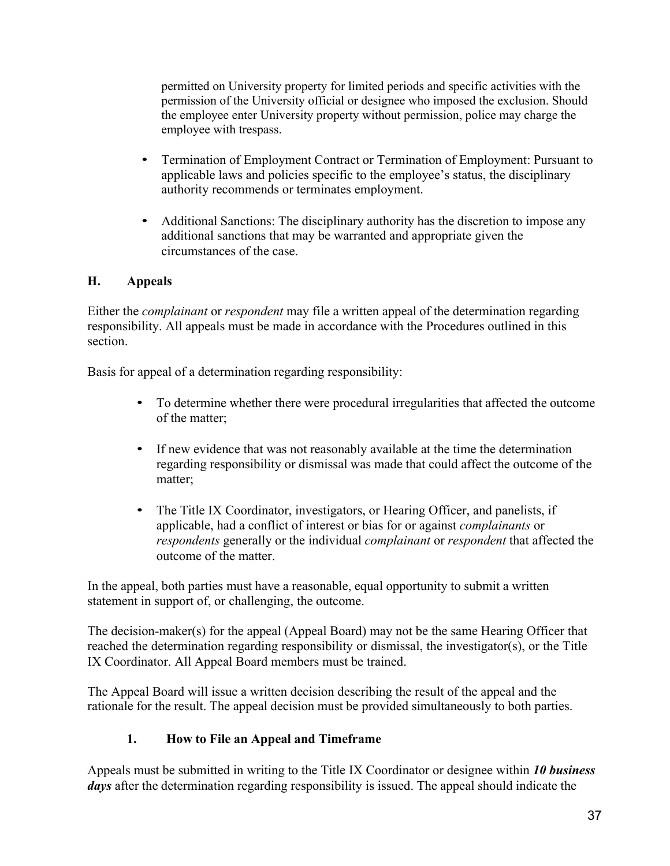permitted on University property for limited periods and specific activities with the permission of the University official or designee who imposed the exclusion. Should the employee enter University property without permission, police may charge the employee with trespass.

- Termination of Employment Contract or Termination of Employment: Pursuant to applicable laws and policies specific to the employee's status, the disciplinary authority recommends or terminates employment.
- Additional Sanctions: The disciplinary authority has the discretion to impose any additional sanctions that may be warranted and appropriate given the circumstances of the case.

## **H. Appeals**

Either the *complainant* or *respondent* may file a written appeal of the determination regarding responsibility. All appeals must be made in accordance with the Procedures outlined in this section.

Basis for appeal of a determination regarding responsibility:

- To determine whether there were procedural irregularities that affected the outcome of the matter;
- If new evidence that was not reasonably available at the time the determination regarding responsibility or dismissal was made that could affect the outcome of the matter;
- The Title IX Coordinator, investigators, or Hearing Officer, and panelists, if applicable, had a conflict of interest or bias for or against *complainants* or *respondents* generally or the individual *complainant* or *respondent* that affected the outcome of the matter.

In the appeal, both parties must have a reasonable, equal opportunity to submit a written statement in support of, or challenging, the outcome.

The decision-maker(s) for the appeal (Appeal Board) may not be the same Hearing Officer that reached the determination regarding responsibility or dismissal, the investigator(s), or the Title IX Coordinator. All Appeal Board members must be trained.

The Appeal Board will issue a written decision describing the result of the appeal and the rationale for the result. The appeal decision must be provided simultaneously to both parties.

## **1. How to File an Appeal and Timeframe**

Appeals must be submitted in writing to the Title IX Coordinator or designee within *10 business days* after the determination regarding responsibility is issued. The appeal should indicate the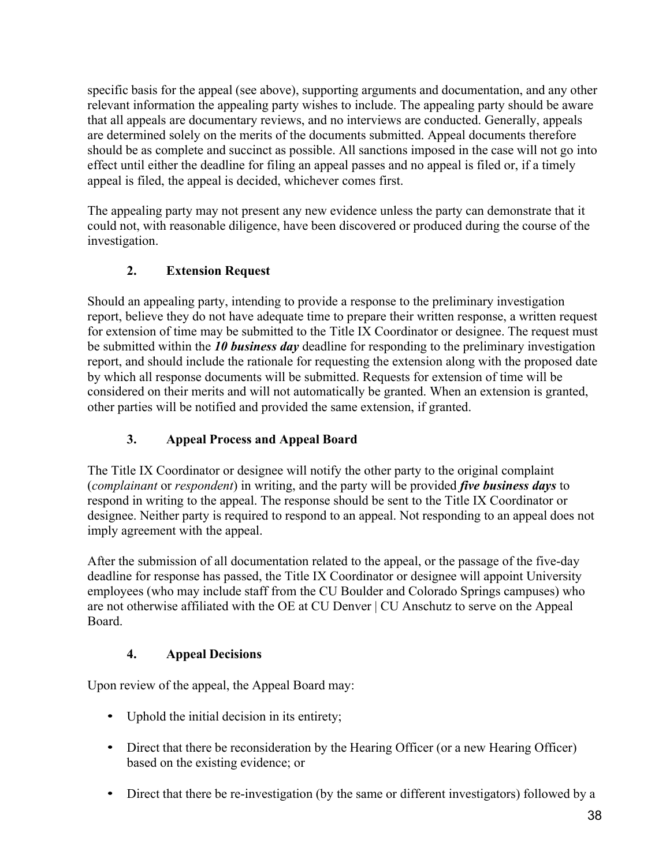specific basis for the appeal (see above), supporting arguments and documentation, and any other relevant information the appealing party wishes to include. The appealing party should be aware that all appeals are documentary reviews, and no interviews are conducted. Generally, appeals are determined solely on the merits of the documents submitted. Appeal documents therefore should be as complete and succinct as possible. All sanctions imposed in the case will not go into effect until either the deadline for filing an appeal passes and no appeal is filed or, if a timely appeal is filed, the appeal is decided, whichever comes first.

The appealing party may not present any new evidence unless the party can demonstrate that it could not, with reasonable diligence, have been discovered or produced during the course of the investigation.

## **2. Extension Request**

Should an appealing party, intending to provide a response to the preliminary investigation report, believe they do not have adequate time to prepare their written response, a written request for extension of time may be submitted to the Title IX Coordinator or designee. The request must be submitted within the *10 business day* deadline for responding to the preliminary investigation report, and should include the rationale for requesting the extension along with the proposed date by which all response documents will be submitted. Requests for extension of time will be considered on their merits and will not automatically be granted. When an extension is granted, other parties will be notified and provided the same extension, if granted.

## **3. Appeal Process and Appeal Board**

The Title IX Coordinator or designee will notify the other party to the original complaint (*complainant* or *respondent*) in writing, and the party will be provided *five business days* to respond in writing to the appeal. The response should be sent to the Title IX Coordinator or designee. Neither party is required to respond to an appeal. Not responding to an appeal does not imply agreement with the appeal.

After the submission of all documentation related to the appeal, or the passage of the five-day deadline for response has passed, the Title IX Coordinator or designee will appoint University employees (who may include staff from the CU Boulder and Colorado Springs campuses) who are not otherwise affiliated with the OE at CU Denver | CU Anschutz to serve on the Appeal Board.

## **4. Appeal Decisions**

Upon review of the appeal, the Appeal Board may:

- Uphold the initial decision in its entirety;
- Direct that there be reconsideration by the Hearing Officer (or a new Hearing Officer) based on the existing evidence; or
- Direct that there be re-investigation (by the same or different investigators) followed by a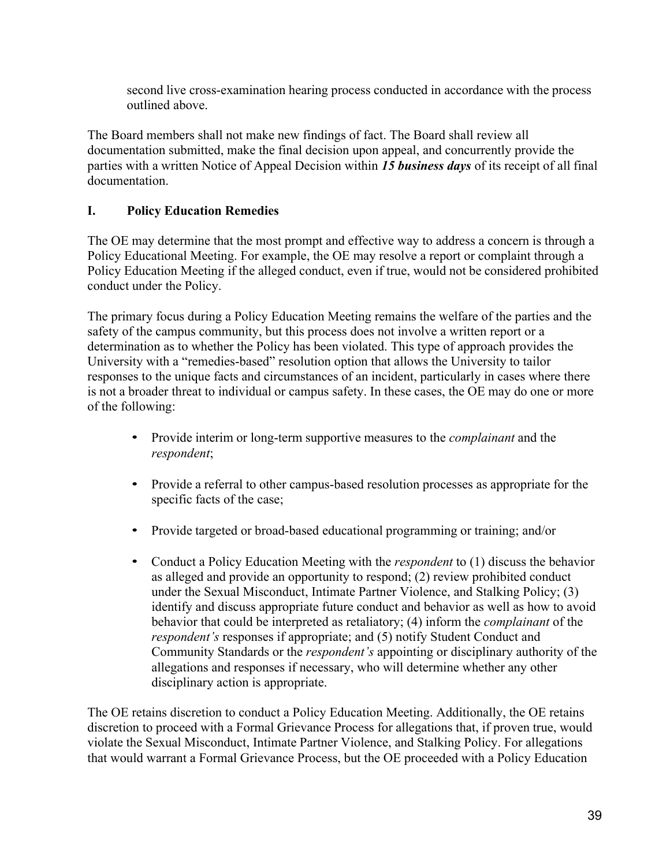second live cross-examination hearing process conducted in accordance with the process outlined above.

The Board members shall not make new findings of fact. The Board shall review all documentation submitted, make the final decision upon appeal, and concurrently provide the parties with a written Notice of Appeal Decision within *15 business days* of its receipt of all final documentation.

## **I. Policy Education Remedies**

The OE may determine that the most prompt and effective way to address a concern is through a Policy Educational Meeting. For example, the OE may resolve a report or complaint through a Policy Education Meeting if the alleged conduct, even if true, would not be considered prohibited conduct under the Policy.

The primary focus during a Policy Education Meeting remains the welfare of the parties and the safety of the campus community, but this process does not involve a written report or a determination as to whether the Policy has been violated. This type of approach provides the University with a "remedies-based" resolution option that allows the University to tailor responses to the unique facts and circumstances of an incident, particularly in cases where there is not a broader threat to individual or campus safety. In these cases, the OE may do one or more of the following:

- Provide interim or long-term supportive measures to the *complainant* and the *respondent*;
- Provide a referral to other campus-based resolution processes as appropriate for the specific facts of the case;
- Provide targeted or broad-based educational programming or training; and/or
- Conduct a Policy Education Meeting with the *respondent* to (1) discuss the behavior as alleged and provide an opportunity to respond; (2) review prohibited conduct under the Sexual Misconduct, Intimate Partner Violence, and Stalking Policy; (3) identify and discuss appropriate future conduct and behavior as well as how to avoid behavior that could be interpreted as retaliatory; (4) inform the *complainant* of the *respondent's* responses if appropriate; and (5) notify Student Conduct and Community Standards or the *respondent's* appointing or disciplinary authority of the allegations and responses if necessary, who will determine whether any other disciplinary action is appropriate.

The OE retains discretion to conduct a Policy Education Meeting. Additionally, the OE retains discretion to proceed with a Formal Grievance Process for allegations that, if proven true, would violate the Sexual Misconduct, Intimate Partner Violence, and Stalking Policy. For allegations that would warrant a Formal Grievance Process, but the OE proceeded with a Policy Education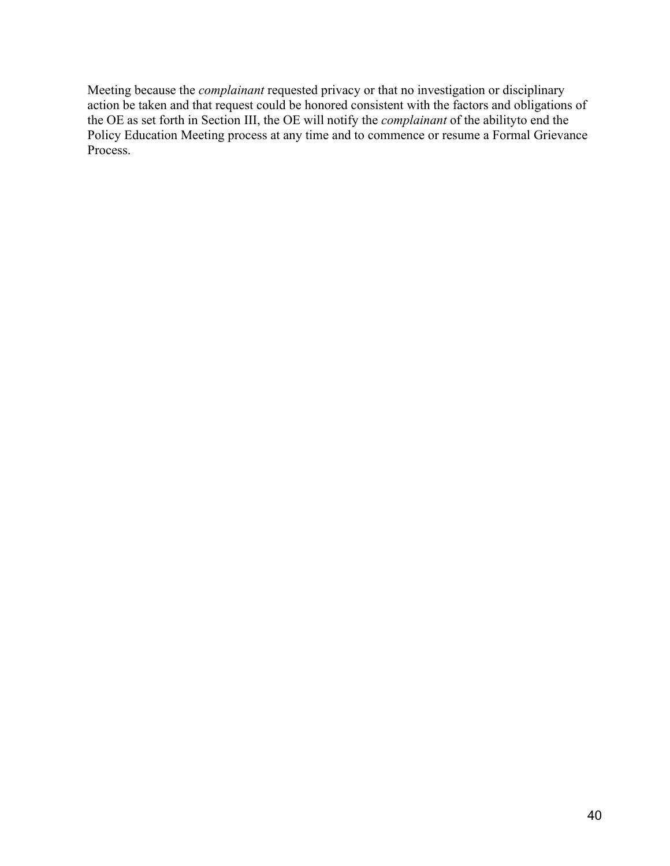Meeting because the *complainant* requested privacy or that no investigation or disciplinary action be taken and that request could be honored consistent with the factors and obligations of the OE as set forth in Section III, the OE will notify the *complainant* of the abilityto end the Policy Education Meeting process at any time and to commence or resume a Formal Grievance Process.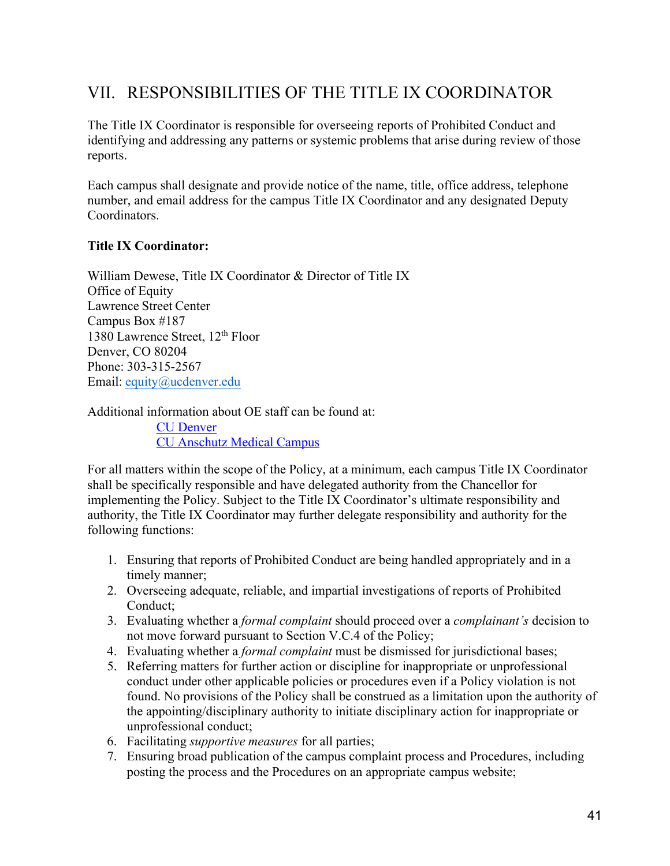# VII. RESPONSIBILITIES OF THE TITLE IX COORDINATOR

The Title IX Coordinator is responsible for overseeing reports of Prohibited Conduct and identifying and addressing any patterns or systemic problems that arise during review of those reports.

Each campus shall designate and provide notice of the name, title, office address, telephone number, and email address for the campus Title IX Coordinator and any designated Deputy Coordinators.

#### **Title IX Coordinator:**

William Dewese, Title IX Coordinator & Director of Title IX Office of Equity Lawrence Street Center Campus Box #187 1380 Lawrence Street, 12th Floor Denver, CO 80204 Phone: 303-315-2567 Email: equity@ucdenver.edu

Additional information about OE staff can be found at: CU Denver CU Anschutz Medical Campus

For all matters within the scope of the Policy, at a minimum, each campus Title IX Coordinator shall be specifically responsible and have delegated authority from the Chancellor for implementing the Policy. Subject to the Title IX Coordinator's ultimate responsibility and authority, the Title IX Coordinator may further delegate responsibility and authority for the following functions:

- 1. Ensuring that reports of Prohibited Conduct are being handled appropriately and in a timely manner;
- 2. Overseeing adequate, reliable, and impartial investigations of reports of Prohibited Conduct;
- 3. Evaluating whether a *formal complaint* should proceed over a *complainant's* decision to not move forward pursuant to Section V.C.4 of the Policy;
- 4. Evaluating whether a *formal complaint* must be dismissed for jurisdictional bases;
- 5. Referring matters for further action or discipline for inappropriate or unprofessional conduct under other applicable policies or procedures even if a Policy violation is not found. No provisions of the Policy shall be construed as a limitation upon the authority of the appointing/disciplinary authority to initiate disciplinary action for inappropriate or unprofessional conduct;
- 6. Facilitating *supportive measures* for all parties;
- 7. Ensuring broad publication of the campus complaint process and Procedures, including posting the process and the Procedures on an appropriate campus website;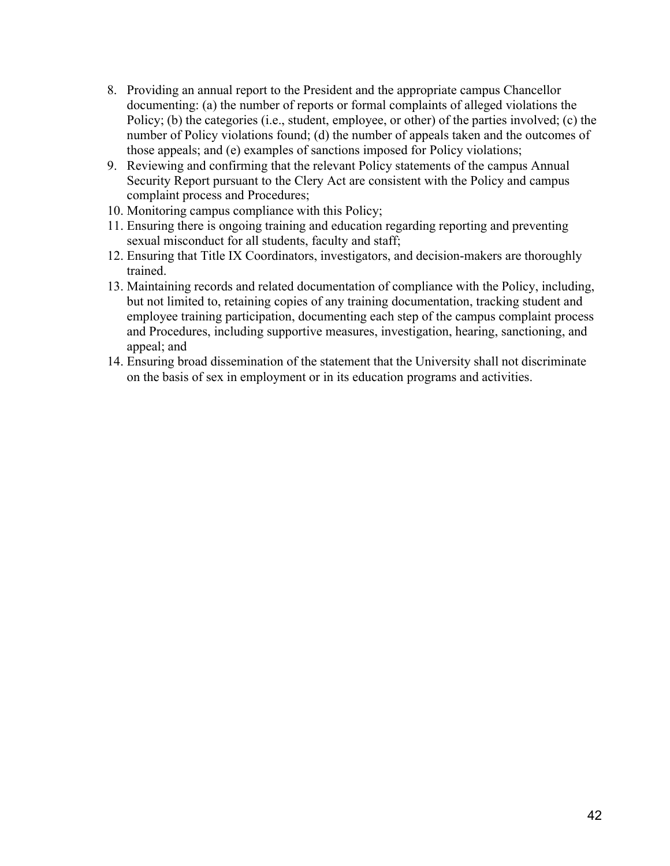- 8. Providing an annual report to the President and the appropriate campus Chancellor documenting: (a) the number of reports or formal complaints of alleged violations the Policy; (b) the categories (i.e., student, employee, or other) of the parties involved; (c) the number of Policy violations found; (d) the number of appeals taken and the outcomes of those appeals; and (e) examples of sanctions imposed for Policy violations;
- 9. Reviewing and confirming that the relevant Policy statements of the campus Annual Security Report pursuant to the Clery Act are consistent with the Policy and campus complaint process and Procedures;
- 10. Monitoring campus compliance with this Policy;
- 11. Ensuring there is ongoing training and education regarding reporting and preventing sexual misconduct for all students, faculty and staff;
- 12. Ensuring that Title IX Coordinators, investigators, and decision-makers are thoroughly trained.
- 13. Maintaining records and related documentation of compliance with the Policy, including, but not limited to, retaining copies of any training documentation, tracking student and employee training participation, documenting each step of the campus complaint process and Procedures, including supportive measures, investigation, hearing, sanctioning, and appeal; and
- 14. Ensuring broad dissemination of the statement that the University shall not discriminate on the basis of sex in employment or in its education programs and activities.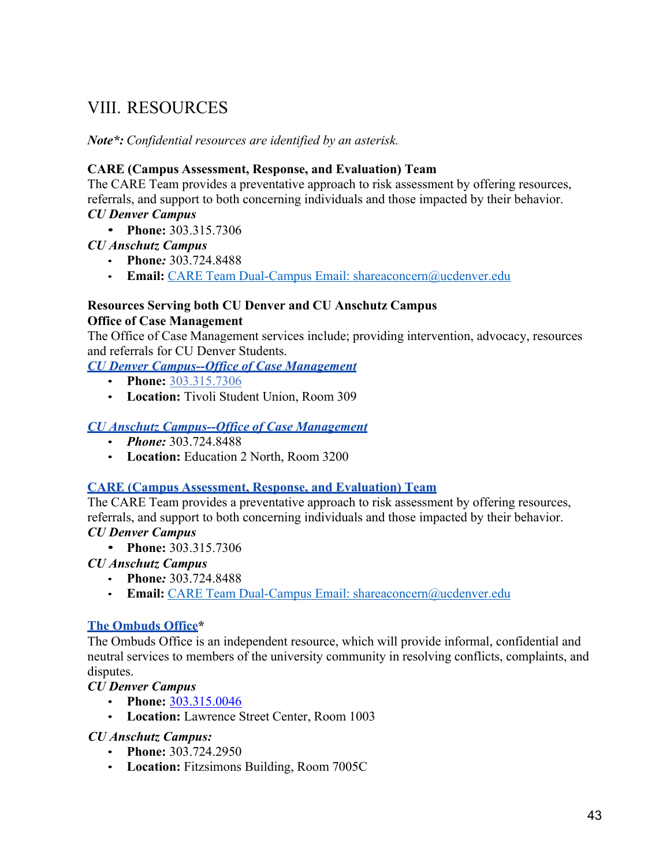# VIII. RESOURCES

*Note\*: Confidential resources are identified by an asterisk.*

## **CARE (Campus Assessment, Response, and Evaluation) Team**

The CARE Team provides a preventative approach to risk assessment by offering resources, referrals, and support to both concerning individuals and those impacted by their behavior. *CU Denver Campus*

• **Phone:** 303.315.7306

## *CU Anschutz Campus*

- **Phone***:* 303.724.8488
- **Email:** CARE Team Dual-Campus Email: shareaconcern@ucdenver.edu

### **Resources Serving both CU Denver and CU Anschutz Campus Office of Case Management**

The Office of Case Management services include; providing intervention, advocacy, resources and referrals for CU Denver Students.

*CU Denver Campus--Office of Case Management*

- **Phone:** 303.315.7306
- **Location:** Tivoli Student Union, Room 309

## *CU Anschutz Campus--Office of Case Management*

- *Phone:* 303.724.8488
- **Location:** Education 2 North, Room 3200

### **CARE (Campus Assessment, Response, and Evaluation) Team**

The CARE Team provides a preventative approach to risk assessment by offering resources, referrals, and support to both concerning individuals and those impacted by their behavior. *CU Denver Campus*

• **Phone:** 303.315.7306

*CU Anschutz Campus*

- **Phone***:* 303.724.8488
- **Email:** CARE Team Dual-Campus Email: shareaconcern@ucdenver.edu

## **The Ombuds Office\***

The Ombuds Office is an independent resource, which will provide informal, confidential and neutral services to members of the university community in resolving conflicts, complaints, and disputes.

*CU Denver Campus*

- **Phone:** 303.315.0046
- **Location:** Lawrence Street Center, Room 1003

## *CU Anschutz Campus:*

- **Phone:** 303.724.2950
- **Location:** Fitzsimons Building, Room 7005C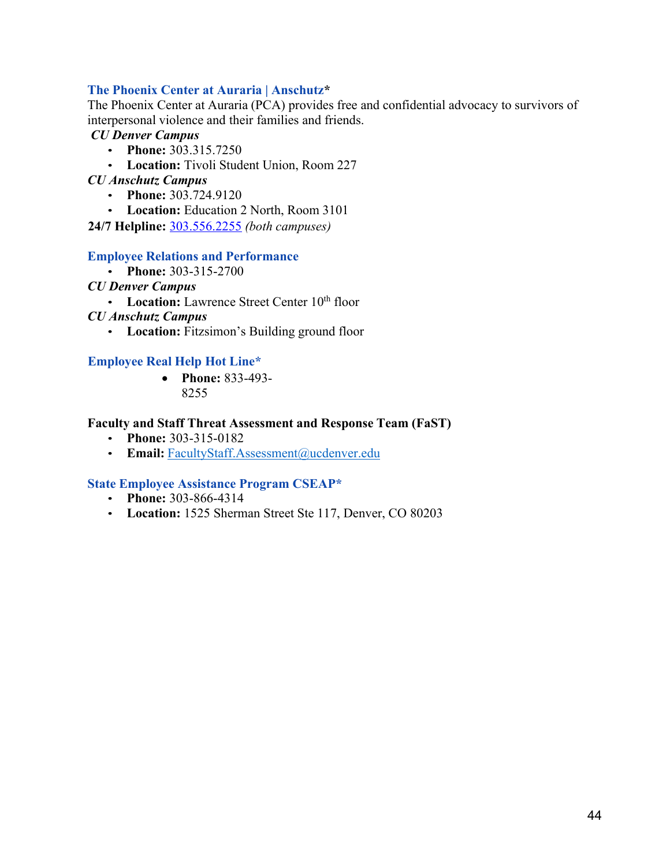### **The Phoenix Center at Auraria | Anschutz\***

The Phoenix Center at Auraria (PCA) provides free and confidential advocacy to survivors of interpersonal violence and their families and friends.

### *CU Denver Campus*

- **Phone:** 303.315.7250
- **Location:** Tivoli Student Union, Room 227

#### *CU Anschutz Campus*

- **Phone:** 303.724.9120
- **Location:** Education 2 North, Room 3101
- **24/7 Helpline:** 303.556.2255 *(both campuses)*

#### **Employee Relations and Performance**

- **Phone:** 303-315-2700
- *CU Denver Campus*
	- Location: Lawrence Street Center 10<sup>th</sup> floor
- *CU Anschutz Campus*
	- **Location:** Fitzsimon's Building ground floor

#### **Employee Real Help Hot Line\***

• **Phone:** 833-493- 8255

#### **Faculty and Staff Threat Assessment and Response Team (FaST)**

- **Phone:** 303-315-0182
- Email: FacultyStaff.Assessment@ucdenver.edu

#### **State Employee Assistance Program CSEAP\***

- **Phone:** 303-866-4314
- **Location:** 1525 Sherman Street Ste 117, Denver, CO 80203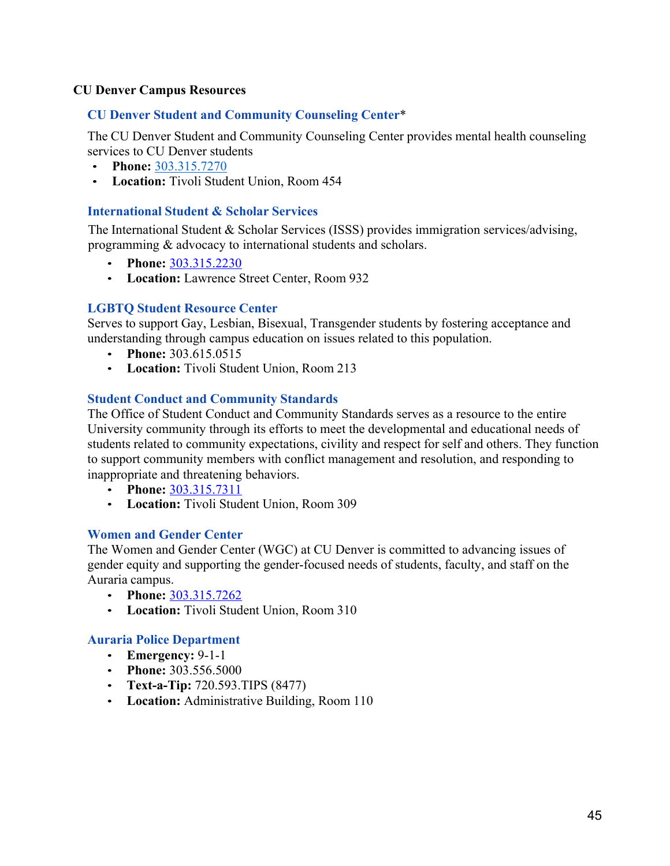### **CU Denver Campus Resources**

#### **CU Denver Student and Community Counseling Center**\*

The CU Denver Student and Community Counseling Center provides mental health counseling services to CU Denver students

- **Phone:** 303.315.7270
- **Location:** Tivoli Student Union, Room 454

#### **International Student & Scholar Services**

The International Student & Scholar Services (ISSS) provides immigration services/advising, programming & advocacy to international students and scholars.

- **Phone:** 303.315.2230
- **Location:** Lawrence Street Center, Room 932

#### **LGBTQ Student Resource Center**

Serves to support Gay, Lesbian, Bisexual, Transgender students by fostering acceptance and understanding through campus education on issues related to this population.

- **Phone:** 303.615.0515
- **Location:** Tivoli Student Union, Room 213

#### **Student Conduct and Community Standards**

The Office of Student Conduct and Community Standards serves as a resource to the entire University community through its efforts to meet the developmental and educational needs of students related to community expectations, civility and respect for self and others. They function to support community members with conflict management and resolution, and responding to inappropriate and threatening behaviors.

- **Phone:** 303.315.7311
- **Location:** Tivoli Student Union, Room 309

#### **Women and Gender Center**

The Women and Gender Center (WGC) at CU Denver is committed to advancing issues of gender equity and supporting the gender-focused needs of students, faculty, and staff on the Auraria campus.

- **Phone:** 303.315.7262
- **Location:** Tivoli Student Union, Room 310

#### **Auraria Police Department**

- **Emergency:** 9-1-1
- **Phone:** 303.556.5000
- **Text-a-Tip:** 720.593.TIPS (8477)
- **Location:** Administrative Building, Room 110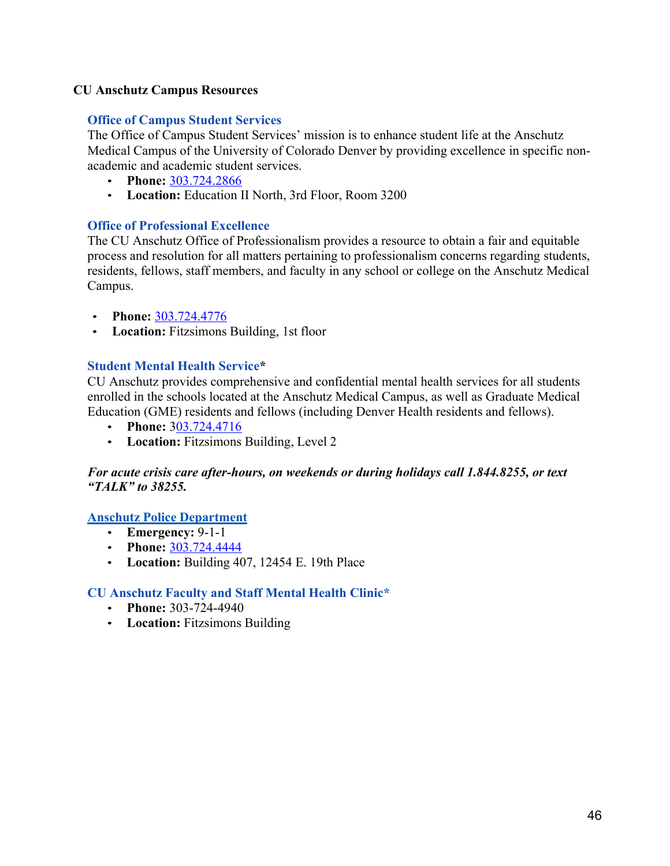## **CU Anschutz Campus Resources**

## **Office of Campus Student Services**

The Office of Campus Student Services' mission is to enhance student life at the Anschutz Medical Campus of the University of Colorado Denver by providing excellence in specific nonacademic and academic student services.

- **Phone:** 303.724.2866
- **Location:** Education II North, 3rd Floor, Room 3200

### **Office of Professional Excellence**

The CU Anschutz Office of Professionalism provides a resource to obtain a fair and equitable process and resolution for all matters pertaining to professionalism concerns regarding students, residents, fellows, staff members, and faculty in any school or college on the Anschutz Medical Campus.

- **Phone:** 303.724.4776
- **Location:** Fitzsimons Building, 1st floor

## **Student Mental Health Service\***

CU Anschutz provides comprehensive and confidential mental health services for all students enrolled in the schools located at the Anschutz Medical Campus, as well as Graduate Medical Education (GME) residents and fellows (including Denver Health residents and fellows).

- **Phone:** 303.724.4716
- **Location:** Fitzsimons Building, Level 2

### *For acute crisis care after-hours, on weekends or during holidays call 1.844.8255, or text "TALK" to 38255.*

### **Anschutz Police Department**

- **Emergency:** 9-1-1
- **Phone:** 303.724.4444
- **Location:** Building 407, 12454 E. 19th Place

### **CU Anschutz Faculty and Staff Mental Health Clinic\***

- **Phone:** 303-724-4940
- **Location:** Fitzsimons Building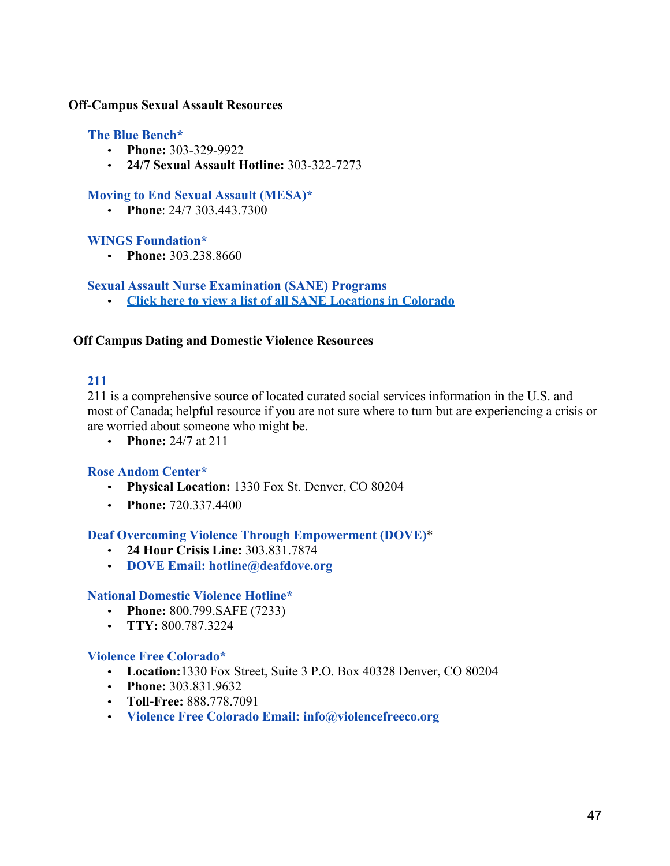#### **Off-Campus Sexual Assault Resources**

#### **The Blue Bench\***

- **Phone:** 303-329-9922
- **24/7 Sexual Assault Hotline:** 303-322-7273

#### **Moving to End Sexual Assault (MESA)\***

• **Phone**: 24/7 303.443.7300

#### **WINGS Foundation\***

• **Phone:** 303.238.8660

**Sexual Assault Nurse Examination (SANE) Programs**

• **Click here to view a list of all SANE Locations in Colorado**

#### **Off Campus Dating and Domestic Violence Resources**

### **211**

211 is a comprehensive source of located curated social services information in the U.S. and most of Canada; helpful resource if you are not sure where to turn but are experiencing a crisis or are worried about someone who might be.

• **Phone:** 24/7 at 211

#### **Rose Andom Center\***

- **Physical Location:** 1330 Fox St. Denver, CO 80204
- **Phone:** 720.337.4400

#### **Deaf Overcoming Violence Through Empowerment (DOVE)**\*

- **24 Hour Crisis Line:** 303.831.7874
- **DOVE Email: hotline@deafdove.org**

#### **National Domestic Violence Hotline\***

- **Phone:** 800.799.SAFE (7233)
- **TTY:** 800.787.3224

#### **Violence Free Colorado\***

- **Location:**1330 Fox Street, Suite 3 P.O. Box 40328 Denver, CO 80204
- **Phone:** 303.831.9632
- **Toll-Free:** 888.778.7091
- **Violence Free Colorado Email: info@violencefreeco.org**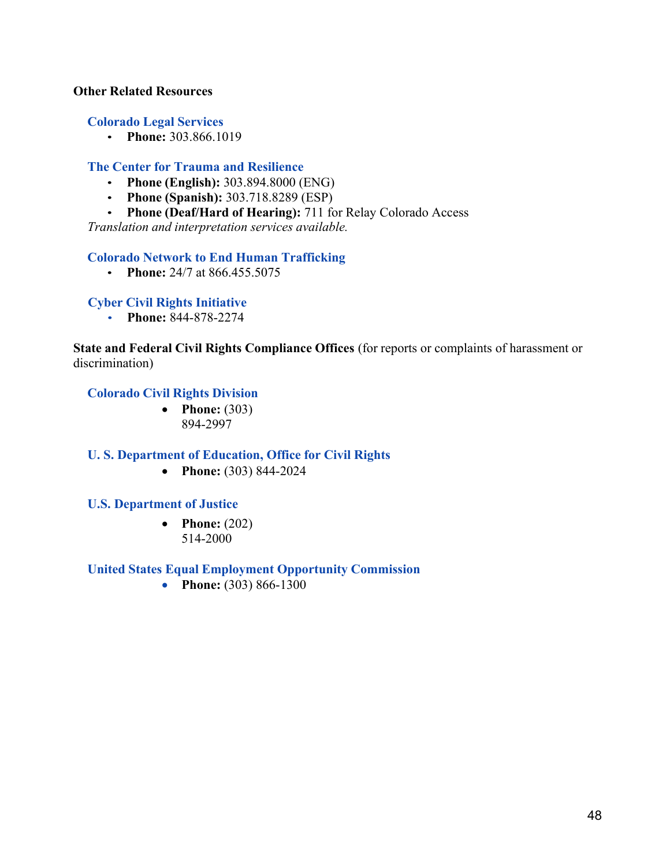#### **Other Related Resources**

#### **Colorado Legal Services**

• **Phone:** 303.866.1019

#### **The Center for Trauma and Resilience**

- **Phone (English):** 303.894.8000 (ENG)
- **Phone (Spanish):** 303.718.8289 (ESP)
- **Phone (Deaf/Hard of Hearing):** 711 for Relay Colorado Access

*Translation and interpretation services available.*

#### **Colorado Network to End Human Trafficking**

• **Phone:** 24/7 at 866.455.5075

#### **Cyber Civil Rights Initiative**

• **Phone:** 844-878-2274

**State and Federal Civil Rights Compliance Offices** (for reports or complaints of harassment or discrimination)

#### **Colorado Civil Rights Division**

• **Phone:** (303) 894-2997

#### **U. S. Department of Education, Office for Civil Rights**

• **Phone:** (303) 844-2024

#### **U.S. Department of Justice**

• **Phone:**  $(202)$ 514-2000

#### **United States Equal Employment Opportunity Commission**

• **Phone:** (303) 866-1300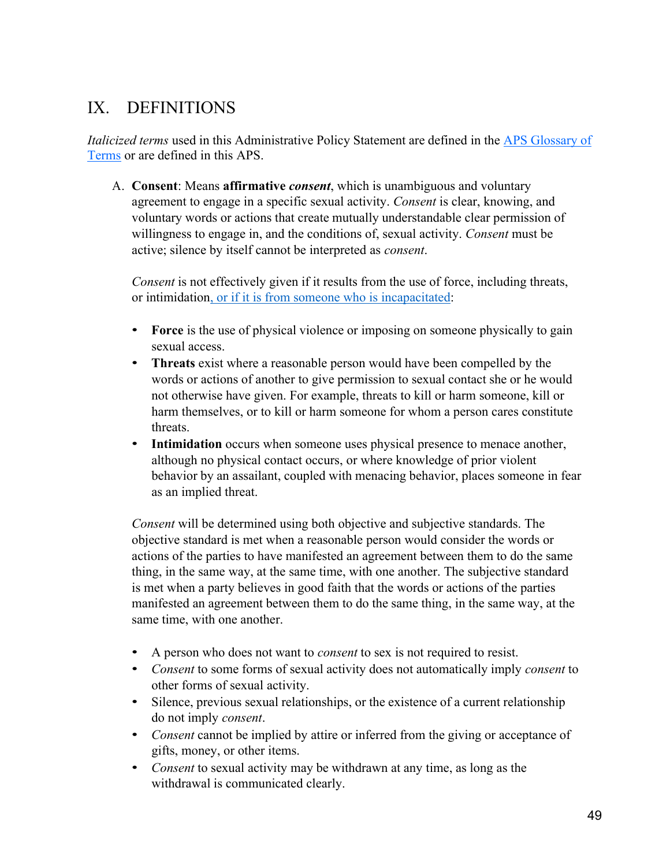# IX. DEFINITIONS

*Italicized terms* used in this Administrative Policy Statement are defined in the APS Glossary of Terms or are defined in this APS.

A. **Consent**: Means **affirmative** *consent*, which is unambiguous and voluntary agreement to engage in a specific sexual activity. *Consent* is clear, knowing, and voluntary words or actions that create mutually understandable clear permission of willingness to engage in, and the conditions of, sexual activity. *Consent* must be active; silence by itself cannot be interpreted as *consent*.

*Consent* is not effectively given if it results from the use of force, including threats, or intimidation, or if it is from someone who is incapacitated:

- Force is the use of physical violence or imposing on someone physically to gain sexual access.
- **Threats** exist where a reasonable person would have been compelled by the words or actions of another to give permission to sexual contact she or he would not otherwise have given. For example, threats to kill or harm someone, kill or harm themselves, or to kill or harm someone for whom a person cares constitute threats.
- **Intimidation** occurs when someone uses physical presence to menace another, although no physical contact occurs, or where knowledge of prior violent behavior by an assailant, coupled with menacing behavior, places someone in fear as an implied threat.

*Consent* will be determined using both objective and subjective standards. The objective standard is met when a reasonable person would consider the words or actions of the parties to have manifested an agreement between them to do the same thing, in the same way, at the same time, with one another. The subjective standard is met when a party believes in good faith that the words or actions of the parties manifested an agreement between them to do the same thing, in the same way, at the same time, with one another.

- A person who does not want to *consent* to sex is not required to resist.
- *Consent* to some forms of sexual activity does not automatically imply *consent* to other forms of sexual activity.
- Silence, previous sexual relationships, or the existence of a current relationship do not imply *consent*.
- *Consent* cannot be implied by attire or inferred from the giving or acceptance of gifts, money, or other items.
- *Consent* to sexual activity may be withdrawn at any time, as long as the withdrawal is communicated clearly.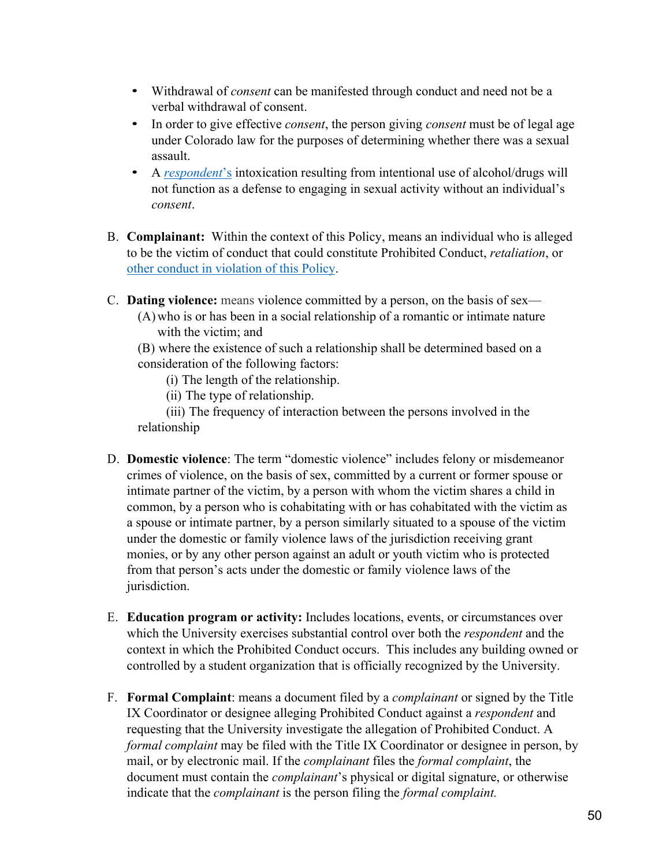- Withdrawal of *consent* can be manifested through conduct and need not be a verbal withdrawal of consent.
- In order to give effective *consent*, the person giving *consent* must be of legal age under Colorado law for the purposes of determining whether there was a sexual assault.
- A *respondent*'s intoxication resulting from intentional use of alcohol/drugs will not function as a defense to engaging in sexual activity without an individual's *consent*.
- B. **Complainant:** Within the context of this Policy, means an individual who is alleged to be the victim of conduct that could constitute Prohibited Conduct, *retaliation*, or other conduct in violation of this Policy.
- C. **Dating violence:** means violence committed by a person, on the basis of sex—
	- (A)who is or has been in a social relationship of a romantic or intimate nature with the victim; and

(B) where the existence of such a relationship shall be determined based on a consideration of the following factors:

(i) The length of the relationship.

(ii) The type of relationship.

(iii) The frequency of interaction between the persons involved in the relationship

- D. **Domestic violence**: The term "domestic violence" includes felony or misdemeanor crimes of violence, on the basis of sex, committed by a current or former spouse or intimate partner of the victim, by a person with whom the victim shares a child in common, by a person who is cohabitating with or has cohabitated with the victim as a spouse or intimate partner, by a person similarly situated to a spouse of the victim under the domestic or family violence laws of the jurisdiction receiving grant monies, or by any other person against an adult or youth victim who is protected from that person's acts under the domestic or family violence laws of the jurisdiction.
- E. **Education program or activity:** Includes locations, events, or circumstances over which the University exercises substantial control over both the *respondent* and the context in which the Prohibited Conduct occurs. This includes any building owned or controlled by a student organization that is officially recognized by the University.
- F. **Formal Complaint**: means a document filed by a *complainant* or signed by the Title IX Coordinator or designee alleging Prohibited Conduct against a *respondent* and requesting that the University investigate the allegation of Prohibited Conduct. A *formal complaint* may be filed with the Title IX Coordinator or designee in person, by mail, or by electronic mail. If the *complainant* files the *formal complaint*, the document must contain the *complainant*'s physical or digital signature, or otherwise indicate that the *complainant* is the person filing the *formal complaint.*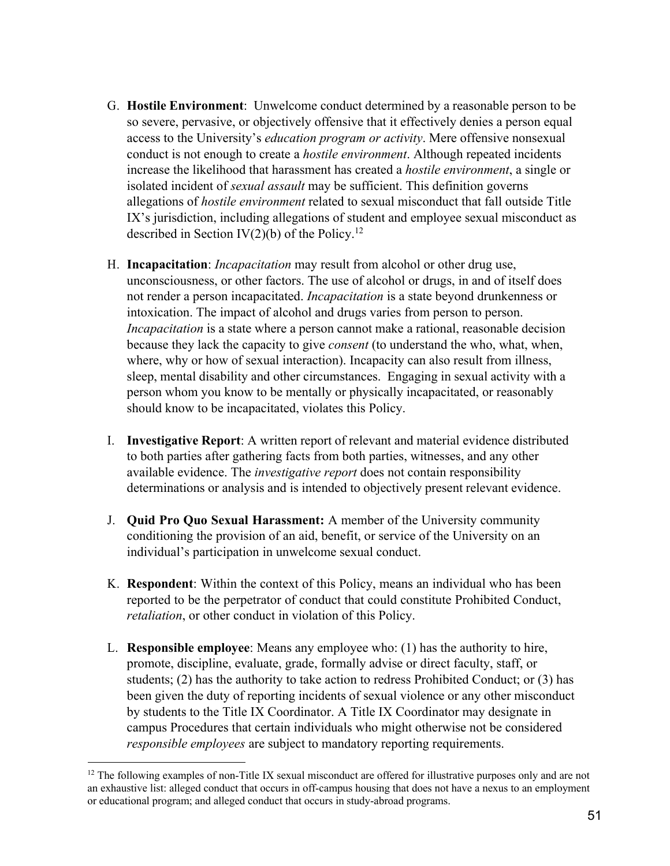- G. **Hostile Environment**: Unwelcome conduct determined by a reasonable person to be so severe, pervasive, or objectively offensive that it effectively denies a person equal access to the University's *education program or activity*. Mere offensive nonsexual conduct is not enough to create a *hostile environment*. Although repeated incidents increase the likelihood that harassment has created a *hostile environment*, a single or isolated incident of *sexual assault* may be sufficient. This definition governs allegations of *hostile environment* related to sexual misconduct that fall outside Title IX's jurisdiction, including allegations of student and employee sexual misconduct as described in Section IV $(2)(b)$  of the Policy.<sup>12</sup>
- H. **Incapacitation**: *Incapacitation* may result from alcohol or other drug use, unconsciousness, or other factors. The use of alcohol or drugs, in and of itself does not render a person incapacitated. *Incapacitation* is a state beyond drunkenness or intoxication. The impact of alcohol and drugs varies from person to person. *Incapacitation* is a state where a person cannot make a rational, reasonable decision because they lack the capacity to give *consent* (to understand the who, what, when, where, why or how of sexual interaction). Incapacity can also result from illness, sleep, mental disability and other circumstances. Engaging in sexual activity with a person whom you know to be mentally or physically incapacitated, or reasonably should know to be incapacitated, violates this Policy.
- I. **Investigative Report**: A written report of relevant and material evidence distributed to both parties after gathering facts from both parties, witnesses, and any other available evidence. The *investigative report* does not contain responsibility determinations or analysis and is intended to objectively present relevant evidence.
- J. **Quid Pro Quo Sexual Harassment:** A member of the University community conditioning the provision of an aid, benefit, or service of the University on an individual's participation in unwelcome sexual conduct.
- K. **Respondent**: Within the context of this Policy, means an individual who has been reported to be the perpetrator of conduct that could constitute Prohibited Conduct, *retaliation*, or other conduct in violation of this Policy.
- L. **Responsible employee**: Means any employee who: (1) has the authority to hire, promote, discipline, evaluate, grade, formally advise or direct faculty, staff, or students; (2) has the authority to take action to redress Prohibited Conduct; or (3) has been given the duty of reporting incidents of sexual violence or any other misconduct by students to the Title IX Coordinator. A Title IX Coordinator may designate in campus Procedures that certain individuals who might otherwise not be considered *responsible employees* are subject to mandatory reporting requirements.

 $12$  The following examples of non-Title IX sexual misconduct are offered for illustrative purposes only and are not an exhaustive list: alleged conduct that occurs in off-campus housing that does not have a nexus to an employment or educational program; and alleged conduct that occurs in study-abroad programs.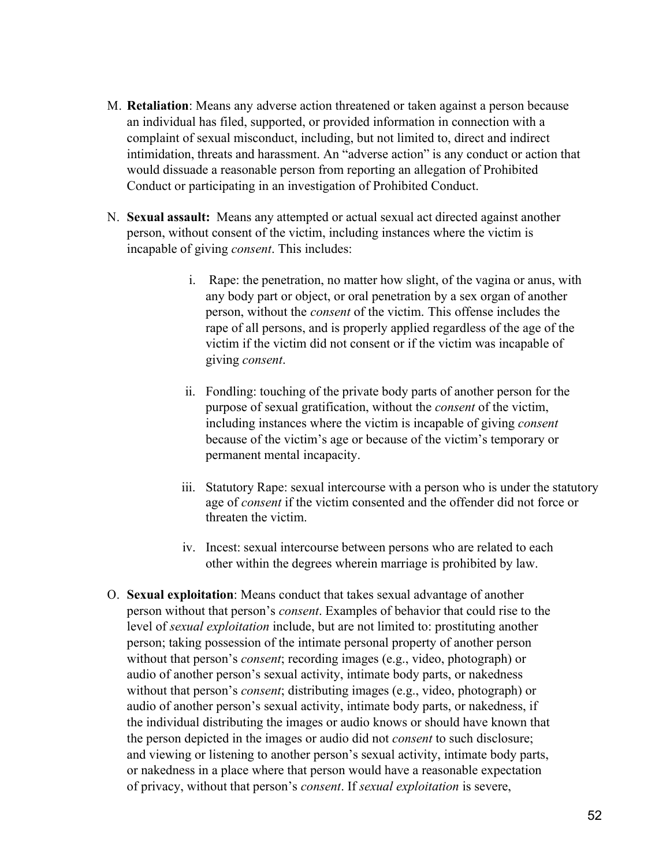- M. **Retaliation**: Means any adverse action threatened or taken against a person because an individual has filed, supported, or provided information in connection with a complaint of sexual misconduct, including, but not limited to, direct and indirect intimidation, threats and harassment. An "adverse action" is any conduct or action that would dissuade a reasonable person from reporting an allegation of Prohibited Conduct or participating in an investigation of Prohibited Conduct.
- N. **Sexual assault:** Means any attempted or actual sexual act directed against another person, without consent of the victim, including instances where the victim is incapable of giving *consent*. This includes:
	- i. Rape: the penetration, no matter how slight, of the vagina or anus, with any body part or object, or oral penetration by a sex organ of another person, without the *consent* of the victim. This offense includes the rape of all persons, and is properly applied regardless of the age of the victim if the victim did not consent or if the victim was incapable of giving *consent*.
	- ii. Fondling: touching of the private body parts of another person for the purpose of sexual gratification, without the *consent* of the victim, including instances where the victim is incapable of giving *consent* because of the victim's age or because of the victim's temporary or permanent mental incapacity.
	- iii. Statutory Rape: sexual intercourse with a person who is under the statutory age of *consent* if the victim consented and the offender did not force or threaten the victim.
	- iv. Incest: sexual intercourse between persons who are related to each other within the degrees wherein marriage is prohibited by law.
- O. **Sexual exploitation**: Means conduct that takes sexual advantage of another person without that person's *consent*. Examples of behavior that could rise to the level of *sexual exploitation* include, but are not limited to: prostituting another person; taking possession of the intimate personal property of another person without that person's *consent*; recording images (e.g., video, photograph) or audio of another person's sexual activity, intimate body parts, or nakedness without that person's *consent*; distributing images (e.g., video, photograph) or audio of another person's sexual activity, intimate body parts, or nakedness, if the individual distributing the images or audio knows or should have known that the person depicted in the images or audio did not *consent* to such disclosure; and viewing or listening to another person's sexual activity, intimate body parts, or nakedness in a place where that person would have a reasonable expectation of privacy, without that person's *consent*. If *sexual exploitation* is severe,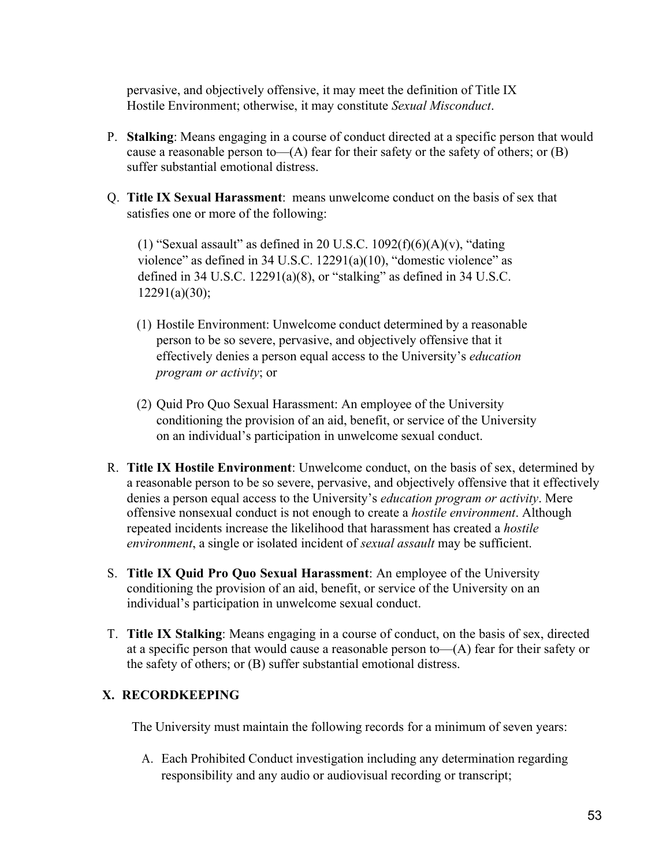pervasive, and objectively offensive, it may meet the definition of Title IX Hostile Environment; otherwise, it may constitute *Sexual Misconduct*.

- P. **Stalking**: Means engaging in a course of conduct directed at a specific person that would cause a reasonable person to— $(A)$  fear for their safety or the safety of others; or  $(B)$ suffer substantial emotional distress.
- Q. **Title IX Sexual Harassment**: means unwelcome conduct on the basis of sex that satisfies one or more of the following:

(1) "Sexual assault" as defined in 20 U.S.C.  $1092(f)(6)(A)(v)$ , "dating violence" as defined in 34 U.S.C. 12291(a)(10), "domestic violence" as defined in 34 U.S.C.  $12291(a)(8)$ , or "stalking" as defined in 34 U.S.C. 12291(a)(30);

- (1) Hostile Environment: Unwelcome conduct determined by a reasonable person to be so severe, pervasive, and objectively offensive that it effectively denies a person equal access to the University's *education program or activity*; or
- (2) Quid Pro Quo Sexual Harassment: An employee of the University conditioning the provision of an aid, benefit, or service of the University on an individual's participation in unwelcome sexual conduct.
- R. **Title IX Hostile Environment**: Unwelcome conduct, on the basis of sex, determined by a reasonable person to be so severe, pervasive, and objectively offensive that it effectively denies a person equal access to the University's *education program or activity*. Mere offensive nonsexual conduct is not enough to create a *hostile environment*. Although repeated incidents increase the likelihood that harassment has created a *hostile environment*, a single or isolated incident of *sexual assault* may be sufficient.
- S. **Title IX Quid Pro Quo Sexual Harassment**: An employee of the University conditioning the provision of an aid, benefit, or service of the University on an individual's participation in unwelcome sexual conduct.
- T. **Title IX Stalking**: Means engaging in a course of conduct, on the basis of sex, directed at a specific person that would cause a reasonable person to  $-(A)$  fear for their safety or the safety of others; or (B) suffer substantial emotional distress.

### **X. RECORDKEEPING**

The University must maintain the following records for a minimum of seven years:

A. Each Prohibited Conduct investigation including any determination regarding responsibility and any audio or audiovisual recording or transcript;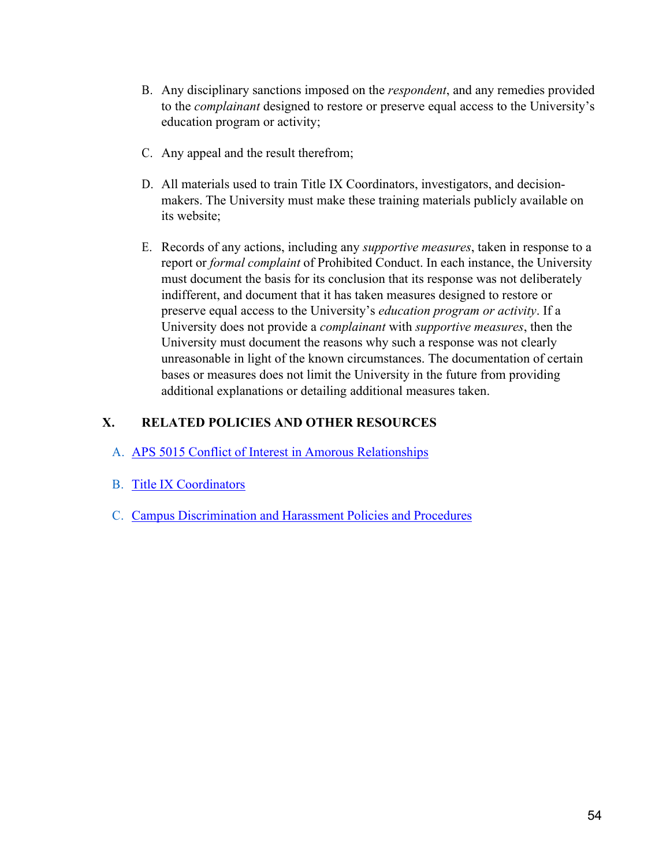- B. Any disciplinary sanctions imposed on the *respondent*, and any remedies provided to the *complainant* designed to restore or preserve equal access to the University's education program or activity;
- C. Any appeal and the result therefrom;
- D. All materials used to train Title IX Coordinators, investigators, and decisionmakers. The University must make these training materials publicly available on its website;
- E. Records of any actions, including any *supportive measures*, taken in response to a report or *formal complaint* of Prohibited Conduct. In each instance, the University must document the basis for its conclusion that its response was not deliberately indifferent, and document that it has taken measures designed to restore or preserve equal access to the University's *education program or activity*. If a University does not provide a *complainant* with *supportive measures*, then the University must document the reasons why such a response was not clearly unreasonable in light of the known circumstances. The documentation of certain bases or measures does not limit the University in the future from providing additional explanations or detailing additional measures taken.

## **X. RELATED POLICIES AND OTHER RESOURCES**

- A. APS 5015 Conflict of Interest in Amorous Relationships
- B. Title IX Coordinators
- C. Campus Discrimination and Harassment Policies and Procedures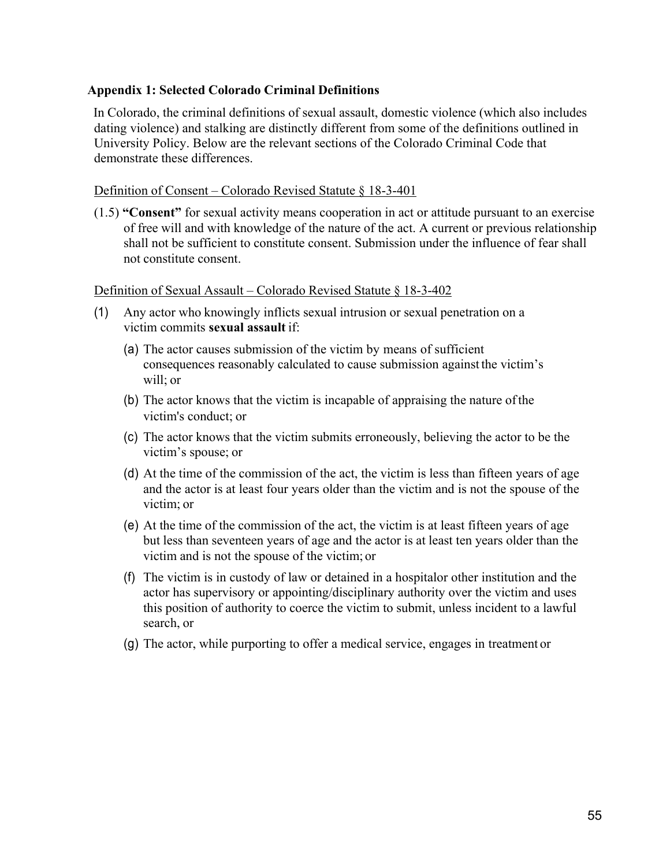#### **Appendix 1: Selected Colorado Criminal Definitions**

In Colorado, the criminal definitions of sexual assault, domestic violence (which also includes dating violence) and stalking are distinctly different from some of the definitions outlined in University Policy. Below are the relevant sections of the Colorado Criminal Code that demonstrate these differences.

#### Definition of Consent – Colorado Revised Statute § 18-3-401

(1.5) **"Consent"** for sexual activity means cooperation in act or attitude pursuant to an exercise of free will and with knowledge of the nature of the act. A current or previous relationship shall not be sufficient to constitute consent. Submission under the influence of fear shall not constitute consent.

#### Definition of Sexual Assault – Colorado Revised Statute § 18-3-402

- (1) Any actor who knowingly inflicts sexual intrusion or sexual penetration on a victim commits **sexual assault** if:
	- (a) The actor causes submission of the victim by means of sufficient consequences reasonably calculated to cause submission against the victim's will; or
	- (b) The actor knows that the victim is incapable of appraising the nature ofthe victim's conduct; or
	- (c) The actor knows that the victim submits erroneously, believing the actor to be the victim's spouse; or
	- (d) At the time of the commission of the act, the victim is less than fifteen years of age and the actor is at least four years older than the victim and is not the spouse of the victim; or
	- (e) At the time of the commission of the act, the victim is at least fifteen years of age but less than seventeen years of age and the actor is at least ten years older than the victim and is not the spouse of the victim; or
	- (f) The victim is in custody of law or detained in a hospitalor other institution and the actor has supervisory or appointing/disciplinary authority over the victim and uses this position of authority to coerce the victim to submit, unless incident to a lawful search, or
	- (g) The actor, while purporting to offer a medical service, engages in treatment or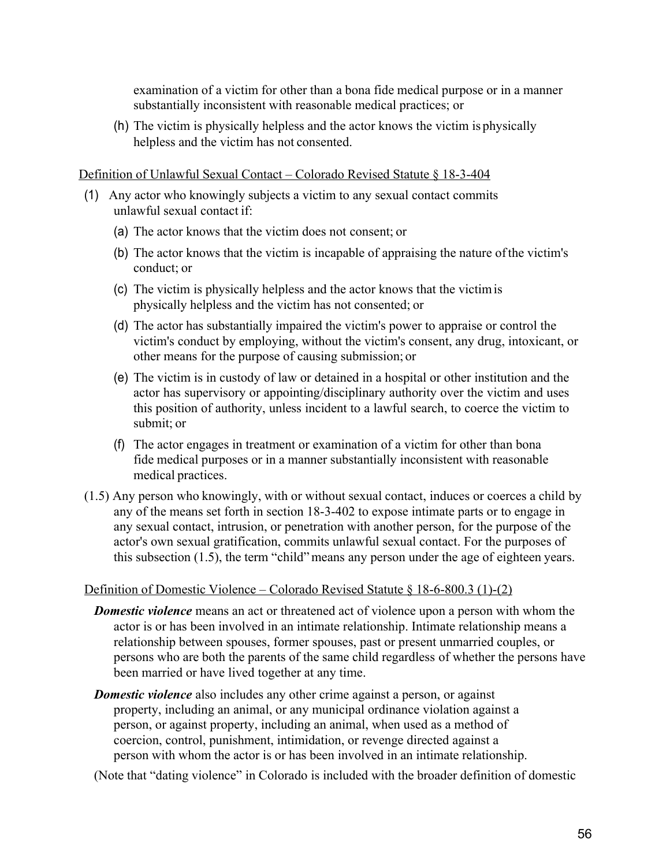examination of a victim for other than a bona fide medical purpose or in a manner substantially inconsistent with reasonable medical practices; or

(h) The victim is physically helpless and the actor knows the victim is physically helpless and the victim has not consented.

#### Definition of Unlawful Sexual Contact – Colorado Revised Statute § 18-3-404

- (1) Any actor who knowingly subjects a victim to any sexual contact commits unlawful sexual contact if:
	- (a) The actor knows that the victim does not consent; or
	- (b) The actor knows that the victim is incapable of appraising the nature ofthe victim's conduct; or
	- (c) The victim is physically helpless and the actor knows that the victimis physically helpless and the victim has not consented; or
	- (d) The actor has substantially impaired the victim's power to appraise or control the victim's conduct by employing, without the victim's consent, any drug, intoxicant, or other means for the purpose of causing submission; or
	- (e) The victim is in custody of law or detained in a hospital or other institution and the actor has supervisory or appointing/disciplinary authority over the victim and uses this position of authority, unless incident to a lawful search, to coerce the victim to submit; or
	- (f) The actor engages in treatment or examination of a victim for other than bona fide medical purposes or in a manner substantially inconsistent with reasonable medical practices.
- (1.5) Any person who knowingly, with or without sexual contact, induces or coerces a child by any of the means set forth in section 18-3-402 to expose intimate parts or to engage in any sexual contact, intrusion, or penetration with another person, for the purpose of the actor's own sexual gratification, commits unlawful sexual contact. For the purposes of this subsection (1.5), the term "child"means any person under the age of eighteen years.

#### Definition of Domestic Violence – Colorado Revised Statute § 18-6-800.3 (1)-(2)

- *Domestic violence* means an act or threatened act of violence upon a person with whom the actor is or has been involved in an intimate relationship. Intimate relationship means a relationship between spouses, former spouses, past or present unmarried couples, or persons who are both the parents of the same child regardless of whether the persons have been married or have lived together at any time.
- *Domestic violence* also includes any other crime against a person, or against property, including an animal, or any municipal ordinance violation against a person, or against property, including an animal, when used as a method of coercion, control, punishment, intimidation, or revenge directed against a person with whom the actor is or has been involved in an intimate relationship.

(Note that "dating violence" in Colorado is included with the broader definition of domestic